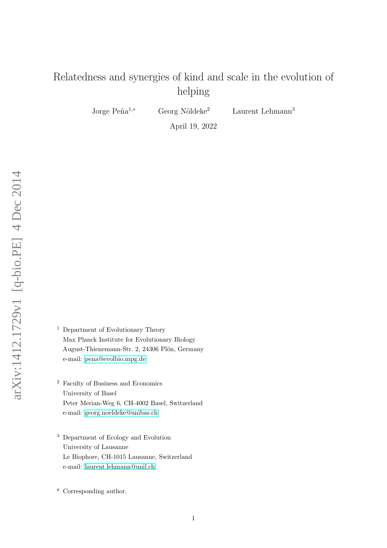# Relatedness and synergies of kind and scale in the evolution of helping

Jorge Peña<sup>1,∗</sup> Georg Nöldeke<sup>2</sup> Laurent Lehmann<sup>3</sup>

April 19, 2022

- <sup>1</sup> Department of Evolutionary Theory Max Planck Institute for Evolutionary Biology August-Thienemann-Str. 2, 24306 Plön, Germany e-mail: [pena@evolbio.mpg.de](mailto:pena@evolbio.mpg.de)
- <sup>2</sup> Faculty of Business and Economics University of Basel Peter Merian-Weg 6, CH-4002 Basel, Switzerland e-mail: [georg.noeldeke@unibas.ch](mailto:georg.noeldeke@unibas.ch)
- <sup>3</sup> Department of Ecology and Evolution University of Lausanne Le Biophore, CH-1015 Lausanne, Switzerland e-mail: [laurent.lehmann@unil.ch](mailto:laurent.lehmann@unil.ch)

\* Corresponding author.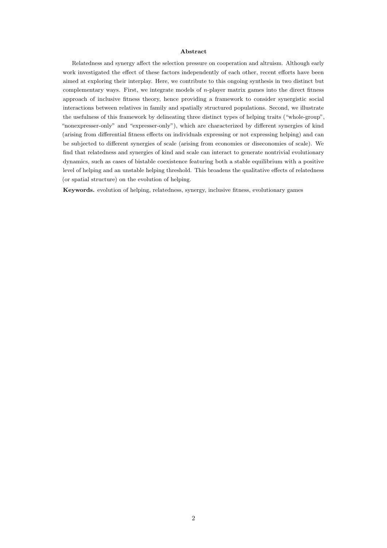#### Abstract

Relatedness and synergy affect the selection pressure on cooperation and altruism. Although early work investigated the effect of these factors independently of each other, recent efforts have been aimed at exploring their interplay. Here, we contribute to this ongoing synthesis in two distinct but complementary ways. First, we integrate models of  $n$ -player matrix games into the direct fitness approach of inclusive fitness theory, hence providing a framework to consider synergistic social interactions between relatives in family and spatially structured populations. Second, we illustrate the usefulness of this framework by delineating three distinct types of helping traits ("whole-group", "nonexpresser-only" and "expresser-only"), which are characterized by different synergies of kind (arising from differential fitness effects on individuals expressing or not expressing helping) and can be subjected to different synergies of scale (arising from economies or diseconomies of scale). We find that relatedness and synergies of kind and scale can interact to generate nontrivial evolutionary dynamics, such as cases of bistable coexistence featuring both a stable equilibrium with a positive level of helping and an unstable helping threshold. This broadens the qualitative effects of relatedness (or spatial structure) on the evolution of helping.

Keywords. evolution of helping, relatedness, synergy, inclusive fitness, evolutionary games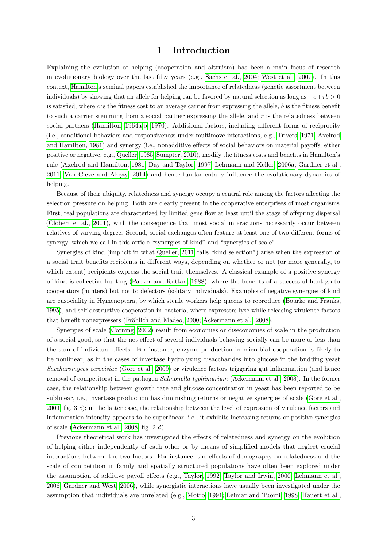## 1 Introduction

Explaining the evolution of helping (cooperation and altruism) has been a main focus of research in evolutionary biology over the last fifty years (e.g., [Sachs et al., 2004;](#page-29-0) [West et al., 2007\)](#page-30-0). In this context, [Hamilton'](#page-28-0)s seminal papers established the importance of relatedness (genetic assortment between individuals) by showing that an allele for helping can be favored by natural selection as long as  $-c+rb > 0$ is satisfied, where  $c$  is the fitness cost to an average carrier from expressing the allele,  $b$  is the fitness benefit to such a carrier stemming from a social partner expressing the allele, and  $r$  is the relatedness between social partners [\(Hamilton, 1964a,](#page-28-0)[b,](#page-28-1) [1970\)](#page-28-2). Additional factors, including different forms of reciprocity (i.e., conditional behaviors and responsiveness under multimove interactions, e.g., [Trivers, 1971;](#page-30-1) [Axelrod](#page-26-0) [and Hamilton, 1981\)](#page-26-0) and synergy (i.e., nonadditive effects of social behaviors on material payoffs, either positive or negative, e.g., [Queller, 1985;](#page-29-1) [Sumpter, 2010\)](#page-30-2), modify the fitness costs and benefits in Hamilton's rule [\(Axelrod and Hamilton, 1981;](#page-26-0) [Day and Taylor, 1997;](#page-26-1) [Lehmann and Keller, 2006a;](#page-28-3) [Gardner et al.,](#page-27-0) [2011;](#page-27-0) Van Cleve and Akçay, 2014) and hence fundamentally influence the evolutionary dynamics of helping.

Because of their ubiquity, relatedness and synergy occupy a central role among the factors affecting the selection pressure on helping. Both are clearly present in the cooperative enterprises of most organisms. First, real populations are characterized by limited gene flow at least until the stage of offspring dispersal [\(Clobert et al., 2001\)](#page-26-2), with the consequence that most social interactions necessarily occur between relatives of varying degree. Second, social exchanges often feature at least one of two different forms of synergy, which we call in this article "synergies of kind" and "synergies of scale".

Synergies of kind (implicit in what [Queller, 2011](#page-29-2) calls "kind selection") arise when the expression of a social trait benefits recipients in different ways, depending on whether or not (or more generally, to which extent) recipients express the social trait themselves. A classical example of a positive synergy of kind is collective hunting [\(Packer and Ruttan, 1988\)](#page-29-3), where the benefits of a successful hunt go to cooperators (hunters) but not to defectors (solitary individuals). Examples of negative synergies of kind are eusociality in Hymenoptera, by which sterile workers help queens to reproduce [\(Bourke and Franks,](#page-26-3) [1995\)](#page-26-3), and self-destructive cooperation in bacteria, where expressers lyse while releasing virulence factors that benefit nonexpressers (Fröhlich and Madeo, 2000; [Ackermann et al., 2008\)](#page-26-4).

Synergies of scale [\(Corning, 2002\)](#page-26-5) result from economies or diseconomies of scale in the production of a social good, so that the net effect of several individuals behaving socially can be more or less than the sum of individual effects. For instance, enzyme production in microbial cooperation is likely to be nonlinear, as in the cases of invertase hydrolyzing disaccharides into glucose in the budding yeast Saccharomyces cerevisiae [\(Gore et al., 2009\)](#page-27-2) or virulence factors triggering gut inflammation (and hence removal of competitors) in the pathogen Salmonella typhimurium [\(Ackermann et al., 2008\)](#page-26-4). In the former case, the relationship between growth rate and glucose concentration in yeast has been reported to be sublinear, i.e., invertase production has diminishing returns or negative synergies of scale [\(Gore et al.,](#page-27-2) [2009,](#page-27-2) fig. 3.c); in the latter case, the relationship between the level of expression of virulence factors and inflammation intensity appears to be superlinear, i.e., it exhibits increasing returns or positive synergies of scale [\(Ackermann et al., 2008,](#page-26-4) fig. 2.d).

Previous theoretical work has investigated the effects of relatedness and synergy on the evolution of helping either independently of each other or by means of simplified models that neglect crucial interactions between the two factors. For instance, the effects of demography on relatedness and the scale of competition in family and spatially structured populations have often been explored under the assumption of additive payoff effects (e.g., [Taylor, 1992;](#page-30-4) [Taylor and Irwin, 2000;](#page-30-5) [Lehmann et al.,](#page-28-4) [2006;](#page-28-4) [Gardner and West, 2006\)](#page-27-3), while synergistic interactions have usually been investigated under the assumption that individuals are unrelated (e.g., [Motro, 1991;](#page-29-4) [Leimar and Tuomi, 1998;](#page-28-5) [Hauert et al.,](#page-28-6)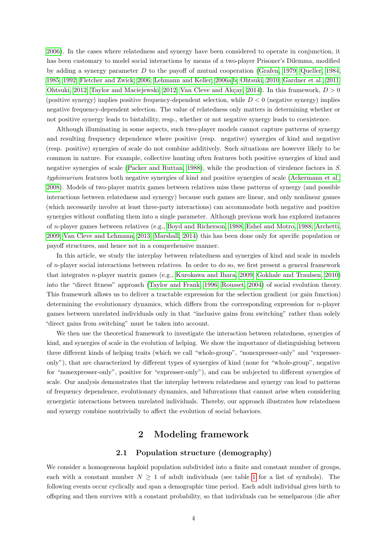[2006\)](#page-28-6). In the cases where relatedness and synergy have been considered to operate in conjunction, it has been customary to model social interactions by means of a two-player Prisoner's Dilemma, modified by adding a synergy parameter D to the payoff of mutual cooperation [\(Grafen, 1979;](#page-27-4) [Queller, 1984,](#page-29-5) [1985,](#page-29-1) [1992;](#page-29-6) [Fletcher and Zwick, 2006;](#page-27-5) [Lehmann and Keller, 2006a,](#page-28-3)[b;](#page-28-7) [Ohtsuki, 2010;](#page-29-7) [Gardner et al., 2011;](#page-27-0) [Ohtsuki, 2012;](#page-29-8) [Taylor and Maciejewski, 2012;](#page-30-6) Van Cleve and Akçay, 2014). In this framework,  $D > 0$ (positive synergy) implies positive frequency-dependent selection, while  $D < 0$  (negative synergy) implies negative frequency-dependent selection. The value of relatedness only matters in determining whether or not positive synergy leads to bistability, resp., whether or not negative synergy leads to coexistence.

Although illuminating in some aspects, such two-player models cannot capture patterns of synergy and resulting frequency dependence where positive (resp. negative) synergies of kind and negative (resp. positive) synergies of scale do not combine additively. Such situations are however likely to be common in nature. For example, collective hunting often features both positive synergies of kind and negative synergies of scale [\(Packer and Ruttan, 1988\)](#page-29-3), while the production of virulence factors in S. typhimurium features both negative synergies of kind and positive synergies of scale [\(Ackermann et al.,](#page-26-4) [2008\)](#page-26-4). Models of two-player matrix games between relatives miss these patterns of synergy (and possible interactions between relatedness and synergy) because such games are linear, and only nonlinear games (which necessarily involve at least three-party interactions) can accommodate both negative and positive synergies without conflating them into a single parameter. Although previous work has explored instances of n-player games between relatives (e.g., [Boyd and Richerson, 1988;](#page-26-6) [Eshel and Motro, 1988;](#page-27-6) [Archetti,](#page-26-7) [2009;](#page-26-7) [Van Cleve and Lehmann, 2013;](#page-30-7) [Marshall, 2014\)](#page-28-8) this has been done only for specific population or payoff structures, and hence not in a comprehensive manner.

In this article, we study the interplay between relatedness and synergies of kind and scale in models of n-player social interactions between relatives. In order to do so, we first present a general framework that integrates n-player matrix games (e.g., [Kurokawa and Ihara, 2009;](#page-28-9) [Gokhale and Traulsen, 2010\)](#page-27-7) into the "direct fitness" approach [\(Taylor and Frank, 1996;](#page-30-8) [Rousset, 2004\)](#page-29-9) of social evolution theory. This framework allows us to deliver a tractable expression for the selection gradient (or gain function) determining the evolutionary dynamics, which differs from the corresponding expression for  $n$ -player games between unrelated individuals only in that "inclusive gains from switching" rather than solely "direct gains from switching" must be taken into account.

We then use the theoretical framework to investigate the interaction between relatedness, synergies of kind, and synergies of scale in the evolution of helping. We show the importance of distinguishing between three different kinds of helping traits (which we call "whole-group", "nonexpresser-only" and "expresseronly"), that are characterized by different types of synergies of kind (none for "whole-group", negative for "nonexpresser-only", positive for "expresser-only"), and can be subjected to different synergies of scale. Our analysis demonstrates that the interplay between relatedness and synergy can lead to patterns of frequency dependence, evolutionary dynamics, and bifurcations that cannot arise when considering synergistic interactions between unrelated individuals. Thereby, our approach illustrates how relatedness and synergy combine nontrivially to affect the evolution of social behaviors.

## 2 Modeling framework

#### 2.1 Population structure (demography)

We consider a homogeneous haploid population subdivided into a finite and constant number of groups, each with a constant number  $N \geq 1$  $N \geq 1$  of adult individuals (see table 1 for a list of symbols). The following events occur cyclically and span a demographic time period. Each adult individual gives birth to offspring and then survives with a constant probability, so that individuals can be semelparous (die after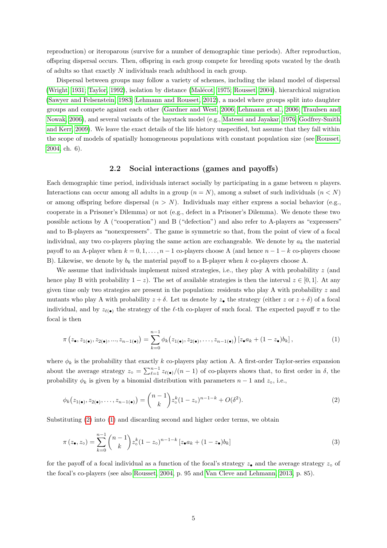reproduction) or iteroparous (survive for a number of demographic time periods). After reproduction, offspring dispersal occurs. Then, offspring in each group compete for breeding spots vacated by the death of adults so that exactly N individuals reach adulthood in each group.

Dispersal between groups may follow a variety of schemes, including the island model of dispersal [\(Wright, 1931;](#page-31-0) [Taylor, 1992\)](#page-30-4), isolation by distance (Malécot, 1975; [Rousset, 2004\)](#page-29-9), hierarchical migration [\(Sawyer and Felsenstein, 1983;](#page-30-9) [Lehmann and Rousset, 2012\)](#page-28-11), a model where groups split into daughter groups and compete against each other [\(Gardner and West, 2006;](#page-27-3) [Lehmann et al., 2006;](#page-28-4) [Traulsen and](#page-30-10) [Nowak, 2006\)](#page-30-10), and several variants of the haystack model (e.g., [Matessi and Jayakar, 1976;](#page-28-12) [Godfrey-Smith](#page-27-8) [and Kerr, 2009\)](#page-27-8). We leave the exact details of the life history unspecified, but assume that they fall within the scope of models of spatially homogeneous populations with constant population size (see [Rousset,](#page-29-9) [2004,](#page-29-9) ch. 6).

### 2.2 Social interactions (games and payoffs)

Each demographic time period, individuals interact socially by participating in a game between  $n$  players. Interactions can occur among all adults in a group  $(n = N)$ , among a subset of such individuals  $(n < N)$ or among offspring before dispersal  $(n > N)$ . Individuals may either express a social behavior (e.g., cooperate in a Prisoner's Dilemma) or not (e.g., defect in a Prisoner's Dilemma). We denote these two possible actions by A ("cooperation") and B ("defection") and also refer to A-players as "expressers" and to B-players as "nonexpressers". The game is symmetric so that, from the point of view of a focal individual, any two co-players playing the same action are exchangeable. We denote by  $a_k$  the material payoff to an A-player when  $k = 0, 1, \ldots, n - 1$  co-players choose A (and hence  $n - 1 - k$  co-players choose B). Likewise, we denote by  $b_k$  the material payoff to a B-player when k co-players choose A.

We assume that individuals implement mixed strategies, i.e., they play A with probability  $z$  (and hence play B with probability  $1 - z$ ). The set of available strategies is then the interval  $z \in [0, 1]$ . At any given time only two strategies are present in the population: residents who play A with probability z and mutants who play A with probability  $z + \delta$ . Let us denote by  $z_{\bullet}$  the strategy (either z or  $z + \delta$ ) of a focal individual, and by  $z_{\ell(\bullet)}$  the strategy of the  $\ell$ -th co-player of such focal. The expected payoff  $\pi$  to the focal is then

<span id="page-4-1"></span>
$$
\pi(z_{\bullet}, z_{1(\bullet)}, z_{2(\bullet)}, ..., z_{n-1(\bullet)}) = \sum_{k=0}^{n-1} \phi_k(z_{1(\bullet)}, z_{2(\bullet)}, ..., z_{n-1(\bullet)}) [z_{\bullet}a_k + (1-z_{\bullet})b_k],
$$
\n(1)

where  $\phi_k$  is the probability that exactly k co-players play action A. A first-order Taylor-series expansion about the average strategy  $z_{\circ} = \sum_{\ell=1}^{n-1} z_{\ell(\bullet)}/(n-1)$  of co-players shows that, to first order in  $\delta$ , the probability  $\phi_k$  is given by a binomial distribution with parameters  $n-1$  and  $z_0$ , i.e.,

<span id="page-4-0"></span>
$$
\phi_k(z_{1(\bullet)}, z_{2(\bullet)}, \dots, z_{n-1(\bullet)}) = \binom{n-1}{k} z_{\circ}^k (1-z_{\circ})^{n-1-k} + O(\delta^2). \tag{2}
$$

Substituting [\(2\)](#page-4-0) into [\(1\)](#page-4-1) and discarding second and higher order terms, we obtain

<span id="page-4-2"></span>
$$
\pi(z_{\bullet}, z_{\circ}) = \sum_{k=0}^{n-1} {n-1 \choose k} z_{\circ}^{k} (1-z_{\circ})^{n-1-k} [z_{\bullet} a_k + (1-z_{\bullet}) b_k]
$$
\n(3)

for the payoff of a focal individual as a function of the focal's strategy  $z_{\bullet}$  and the average strategy  $z_{\circ}$  of the focal's co-players (see also [Rousset, 2004,](#page-29-9) p. 95 and [Van Cleve and Lehmann, 2013,](#page-30-7) p. 85).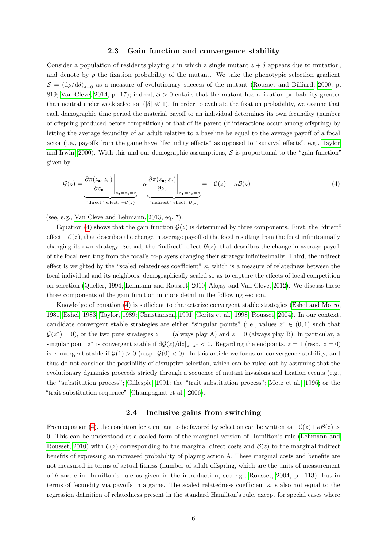#### 2.3 Gain function and convergence stability

Consider a population of residents playing z in which a single mutant  $z + \delta$  appears due to mutation, and denote by  $\rho$  the fixation probability of the mutant. We take the phenotypic selection gradient  $S = (d\rho/d\delta)_{\delta=0}$  as a measure of evolutionary success of the mutant [\(Rousset and Billiard, 2000,](#page-29-10) p. 819; [Van Cleve, 2014,](#page-30-11) p. 17); indeed,  $S > 0$  entails that the mutant has a fixation probability greater than neutral under weak selection ( $|\delta| \ll 1$ ). In order to evaluate the fixation probability, we assume that each demographic time period the material payoff to an individual determines its own fecundity (number of offspring produced before competition) or that of its parent (if interactions occur among offspring) by letting the average fecundity of an adult relative to a baseline be equal to the average payoff of a focal actor (i.e., payoffs from the game have "fecundity effects" as opposed to "survival effects", e.g., [Taylor](#page-30-5) [and Irwin, 2000\)](#page-30-5). With this and our demographic assumptions,  $\mathcal{S}$  is proportional to the "gain function" given by

<span id="page-5-0"></span>
$$
\mathcal{G}(z) = \underbrace{\frac{\partial \pi(z_{\bullet}, z_{\circ})}{\partial z_{\bullet}}\Big|_{z_{\bullet}=z_{\circ}=z}}_{\text{`direct'' effect, } -\mathcal{C}(z)} + \kappa \underbrace{\frac{\partial \pi(z_{\bullet}, z_{\circ})}{\partial z_{\circ}}\Big|_{z_{\bullet}=z_{\circ}=z}}_{\text{`indirect'' effect, } \mathcal{B}(z)} = -\mathcal{C}(z) + \kappa \mathcal{B}(z)
$$
\n
$$
(4)
$$

(see, e.g., [Van Cleve and Lehmann, 2013,](#page-30-7) eq. 7).

Equation [\(4\)](#page-5-0) shows that the gain function  $\mathcal{G}(z)$  is determined by three components. First, the "direct" effect  $-C(z)$ , that describes the change in average payoff of the focal resulting from the focal infinitesimally changing its own strategy. Second, the "indirect" effect  $\mathcal{B}(z)$ , that describes the change in average payoff of the focal resulting from the focal's co-players changing their strategy infinitesimally. Third, the indirect effect is weighted by the "scaled relatedness coefficient"  $\kappa$ , which is a measure of relatedness between the focal individual and its neighbors, demographically scaled so as to capture the effects of local competition on selection [\(Queller, 1994;](#page-29-11) [Lehmann and Rousset, 2010;](#page-28-13) Akçay and Van Cleve, 2012). We discuss these three components of the gain function in more detail in the following section.

Knowledge of equation [\(4\)](#page-5-0) is sufficient to characterize convergent stable strategies [\(Eshel and Motro,](#page-27-9) [1981;](#page-27-9) [Eshel, 1983;](#page-27-10) [Taylor, 1989;](#page-30-12) [Christiansen, 1991;](#page-26-9) [Geritz et al., 1998;](#page-27-11) [Rousset, 2004\)](#page-29-9). In our context, candidate convergent stable strategies are either "singular points" (i.e., values  $z^* \in (0,1)$  such that  $G(z^*) = 0$ , or the two pure strategies  $z = 1$  (always play A) and  $z = 0$  (always play B). In particular, a singular point  $z^*$  is convergent stable if  $d\mathcal{G}(z)/dz|_{z=z^*} < 0$ . Regarding the endpoints,  $z = 1$  (resp.  $z = 0$ ) is convergent stable if  $\mathcal{G}(1) > 0$  (resp.  $\mathcal{G}(0) < 0$ ). In this article we focus on convergence stability, and thus do not consider the possibility of disruptive selection, which can be ruled out by assuming that the evolutionary dynamics proceeds strictly through a sequence of mutant invasions and fixation events (e.g., the "substitution process"; [Gillespie, 1991;](#page-27-12) the "trait substitution process"; [Metz et al., 1996;](#page-29-12) or the "trait substitution sequence"; [Champagnat et al., 2006\)](#page-26-10).

### 2.4 Inclusive gains from switching

From equation [\(4\)](#page-5-0), the condition for a mutant to be favored by selection can be written as  $-C(z)+\kappa\mathcal{B}(z)$ 0. This can be understood as a scaled form of the marginal version of Hamilton's rule [\(Lehmann and](#page-28-13) [Rousset, 2010\)](#page-28-13) with  $\mathcal{C}(z)$  corresponding to the marginal direct costs and  $\mathcal{B}(z)$  to the marginal indirect benefits of expressing an increased probability of playing action A. These marginal costs and benefits are not measured in terms of actual fitness (number of adult offspring, which are the units of measurement of b and c in Hamilton's rule as given in the introduction, see e.g., [Rousset, 2004,](#page-29-9) p. 113), but in terms of fecundity via payoffs in a game. The scaled relatedness coefficient  $\kappa$  is also not equal to the regression definition of relatedness present in the standard Hamilton's rule, except for special cases where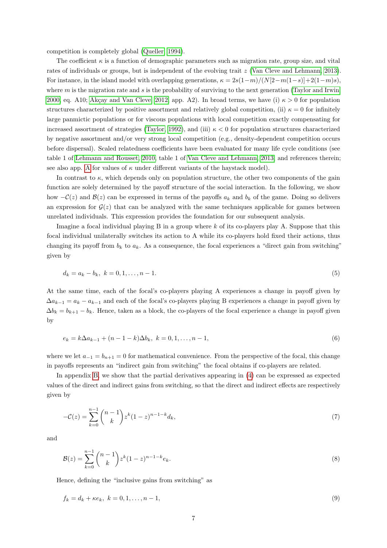competition is completely global [\(Queller, 1994\)](#page-29-11).

The coefficient  $\kappa$  is a function of demographic parameters such as migration rate, group size, and vital rates of individuals or groups, but is independent of the evolving trait z [\(Van Cleve and Lehmann, 2013\)](#page-30-7). For instance, in the island model with overlapping generations,  $\kappa = 2s(1-m)/(N[2-m(1-s)]+2(1-m)s)$ , where  $m$  is the migration rate and  $s$  is the probability of surviving to the next generation [\(Taylor and Irwin,](#page-30-5) [2000,](#page-30-5) eq. A10; Akçay and Van Cleve, 2012, app. A2). In broad terms, we have (i)  $\kappa > 0$  for population structures characterized by positive assortment and relatively global competition, (ii)  $\kappa = 0$  for infinitely large panmictic populations or for viscous populations with local competition exactly compensating for increased assortment of strategies [\(Taylor, 1992\)](#page-30-4), and (iii)  $\kappa < 0$  for population structures characterized by negative assortment and/or very strong local competition (e.g., density-dependent competition occurs before dispersal). Scaled relatedness coefficients have been evaluated for many life cycle conditions (see table 1 of [Lehmann and Rousset, 2010,](#page-28-13) table 1 of [Van Cleve and Lehmann, 2013,](#page-30-7) and references therein; see also app. [A](#page-18-0) for values of  $\kappa$  under different variants of the haystack model).

In contrast to  $\kappa$ , which depends only on population structure, the other two components of the gain function are solely determined by the payoff structure of the social interaction. In the following, we show how  $-\mathcal{C}(z)$  and  $\mathcal{B}(z)$  can be expressed in terms of the payoffs  $a_k$  and  $b_k$  of the game. Doing so delivers an expression for  $\mathcal{G}(z)$  that can be analyzed with the same techniques applicable for games between unrelated individuals. This expression provides the foundation for our subsequent analysis.

Imagine a focal individual playing B in a group where  $k$  of its co-players play A. Suppose that this focal individual unilaterally switches its action to A while its co-players hold fixed their actions, thus changing its payoff from  $b_k$  to  $a_k$ . As a consequence, the focal experiences a "direct gain from switching" given by

<span id="page-6-0"></span>
$$
d_k = a_k - b_k, \ k = 0, 1, \dots, n - 1. \tag{5}
$$

At the same time, each of the focal's co-players playing A experiences a change in payoff given by  $\Delta a_{k-1} = a_k - a_{k-1}$  and each of the focal's co-players playing B experiences a change in payoff given by  $\Delta b_k = b_{k+1} - b_k$ . Hence, taken as a block, the co-players of the focal experience a change in payoff given by

<span id="page-6-1"></span>
$$
e_k = k\Delta a_{k-1} + (n-1-k)\Delta b_k, \ k = 0, 1, \dots, n-1,
$$
\n(6)

where we let  $a_{-1} = b_{n+1} = 0$  for mathematical convenience. From the perspective of the focal, this change in payoffs represents an "indirect gain from switching" the focal obtains if co-players are related.

In appendix [B,](#page-19-0) we show that the partial derivatives appearing in [\(4\)](#page-5-0) can be expressed as expected values of the direct and indirect gains from switching, so that the direct and indirect effects are respectively given by

<span id="page-6-3"></span>
$$
-\mathcal{C}(z) = \sum_{k=0}^{n-1} {n-1 \choose k} z^k (1-z)^{n-1-k} d_k,
$$
\n(7)

<span id="page-6-4"></span>and

$$
\mathcal{B}(z) = \sum_{k=0}^{n-1} {n-1 \choose k} z^k (1-z)^{n-1-k} e_k.
$$
\n(8)

Hence, defining the "inclusive gains from switching" as

<span id="page-6-2"></span>
$$
f_k = d_k + \kappa e_k, \ k = 0, 1, \dots, n - 1,
$$
\n(9)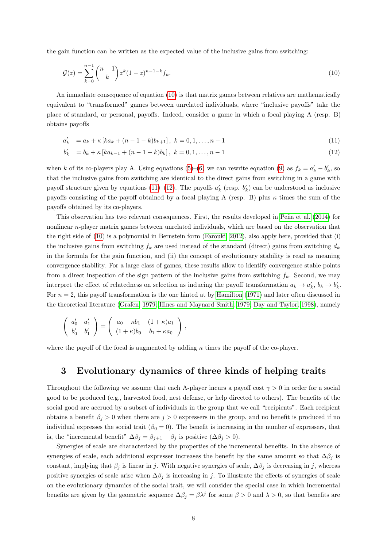the gain function can be written as the expected value of the inclusive gains from switching:

<span id="page-7-0"></span>
$$
\mathcal{G}(z) = \sum_{k=0}^{n-1} {n-1 \choose k} z^k (1-z)^{n-1-k} f_k.
$$
\n(10)

An immediate consequence of equation [\(10\)](#page-7-0) is that matrix games between relatives are mathematically equivalent to "transformed" games between unrelated individuals, where "inclusive payoffs" take the place of standard, or personal, payoffs. Indeed, consider a game in which a focal playing A (resp. B) obtains payoffs

<span id="page-7-1"></span>
$$
a'_k = a_k + \kappa [ka_k + (n-1-k)b_{k+1}], \ k = 0, 1, \dots, n-1
$$
\n(11)

$$
b'_{k} = b_{k} + \kappa [ka_{k-1} + (n-1-k)b_{k}], \ k = 0, 1, ..., n-1
$$
\n(12)

when k of its co-players play A. Using equations [\(5\)](#page-6-0)–[\(6\)](#page-6-1) we can rewrite equation [\(9\)](#page-6-2) as  $f_k = a'_k - b'_k$ , so that the inclusive gains from switching are identical to the direct gains from switching in a game with payoff structure given by equations [\(11\)](#page-7-1)–[\(12\)](#page-7-1). The payoffs  $a'_k$  (resp.  $b'_k$ ) can be understood as inclusive payoffs consisting of the payoff obtained by a focal playing A (resp. B) plus  $\kappa$  times the sum of the payoffs obtained by its co-players.

This observation has two relevant consequences. First, the results developed in Peña et al. [\(2014\)](#page-29-13) for nonlinear n-player matrix games between unrelated individuals, which are based on the observation that the right side of [\(10\)](#page-7-0) is a polynomial in Bernstein form [\(Farouki, 2012\)](#page-27-13), also apply here, provided that (i) the inclusive gains from switching  $f_k$  are used instead of the standard (direct) gains from switching  $d_k$ in the formula for the gain function, and (ii) the concept of evolutionary stability is read as meaning convergence stability. For a large class of games, these results allow to identify convergence stable points from a direct inspection of the sign pattern of the inclusive gains from switching  $f_k$ . Second, we may interpret the effect of relatedness on selection as inducing the payoff transformation  $a_k \to a'_k$ ,  $b_k \to b'_k$ . For  $n = 2$ , this payoff transformation is the one hinted at by [Hamilton](#page-28-14) [\(1971\)](#page-28-14) and later often discussed in the theoretical literature [\(Grafen, 1979;](#page-27-4) [Hines and Maynard Smith, 1979;](#page-28-15) [Day and Taylor, 1998\)](#page-26-11), namely

$$
\left(\begin{array}{cc}\na'_0 & a'_1 \\
b'_0 & b'_1\n\end{array}\right) = \left(\begin{array}{cc}\na_0 + \kappa b_1 & (1 + \kappa)a_1 \\
(1 + \kappa)b_0 & b_1 + \kappa a_0\n\end{array}\right),
$$

where the payoff of the focal is augmented by adding  $\kappa$  times the payoff of the co-player.

## 3 Evolutionary dynamics of three kinds of helping traits

Throughout the following we assume that each A-player incurs a payoff cost  $\gamma > 0$  in order for a social good to be produced (e.g., harvested food, nest defense, or help directed to others). The benefits of the social good are accrued by a subset of individuals in the group that we call "recipients". Each recipient obtains a benefit  $\beta_i > 0$  when there are  $j > 0$  expressers in the group, and no benefit is produced if no individual expresses the social trait ( $\beta_0 = 0$ ). The benefit is increasing in the number of expressers, that is, the "incremental benefit"  $\Delta \beta_j = \beta_{j+1} - \beta_j$  is positive  $(\Delta \beta_j > 0)$ .

Synergies of scale are characterized by the properties of the incremental benefits. In the absence of synergies of scale, each additional expresser increases the benefit by the same amount so that  $\Delta\beta_i$  is constant, implying that  $\beta_j$  is linear in j. With negative synergies of scale,  $\Delta\beta_j$  is decreasing in j, whereas positive synergies of scale arise when  $\Delta\beta_i$  is increasing in j. To illustrate the effects of synergies of scale on the evolutionary dynamics of the social trait, we will consider the special case in which incremental benefits are given by the geometric sequence  $\Delta \beta_j = \beta \lambda^j$  for some  $\beta > 0$  and  $\lambda > 0$ , so that benefits are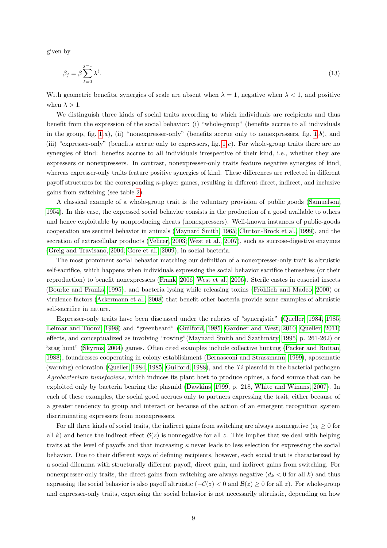given by

<span id="page-8-0"></span>
$$
\beta_j = \beta \sum_{\ell=0}^{j-1} \lambda^{\ell}.
$$
\n(13)

With geometric benefits, synergies of scale are absent when  $\lambda = 1$ , negative when  $\lambda < 1$ , and positive when  $\lambda > 1$ .

We distinguish three kinds of social traits according to which individuals are recipients and thus benefit from the expression of the social behavior: (i) "whole-group" (benefits accrue to all individuals in the group, fig.  $1.a$ , (ii) "nonexpresser-only" (benefits accrue only to nonexpressers, fig.  $1.b$ ), and (iii) "expresser-only" (benefits accrue only to expressers, fig. [1.](#page-32-0)c). For whole-group traits there are no synergies of kind: benefits accrue to all individuals irrespective of their kind, i.e., whether they are expressers or nonexpressers. In contrast, nonexpresser-only traits feature negative synergies of kind, whereas expresser-only traits feature positive synergies of kind. These differences are reflected in different payoff structures for the corresponding n-player games, resulting in different direct, indirect, and inclusive gains from switching (see table [2\)](#page-35-0).

A classical example of a whole-group trait is the voluntary provision of public goods [\(Samuelson,](#page-29-14) [1954\)](#page-29-14). In this case, the expressed social behavior consists in the production of a good available to others and hence exploitable by nonproducing cheats (nonexpressers). Well-known instances of public-goods cooperation are sentinel behavior in animals [\(Maynard Smith, 1965;](#page-29-15) [Clutton-Brock et al., 1999\)](#page-26-12), and the secretion of extracellular products [\(Velicer, 2003;](#page-30-13) [West et al., 2007\)](#page-30-0), such as sucrose-digestive enzymes [\(Greig and Travisano, 2004;](#page-27-14) [Gore et al., 2009\)](#page-27-2), in social bacteria.

The most prominent social behavior matching our definition of a nonexpresser-only trait is altruistic self-sacrifice, which happens when individuals expressing the social behavior sacrifice themselves (or their reproduction) to benefit nonexpressers [\(Frank, 2006;](#page-27-15) [West et al., 2006\)](#page-30-14). Sterile castes in eusocial insects [\(Bourke and Franks, 1995\)](#page-26-3), and bacteria lysing while releasing toxins (Fröhlich and Madeo, 2000) or virulence factors [\(Ackermann et al., 2008\)](#page-26-4) that benefit other bacteria provide some examples of altruistic self-sacrifice in nature.

Expresser-only traits have been discussed under the rubrics of "synergistic" [\(Queller, 1984,](#page-29-5) [1985;](#page-29-1) [Leimar and Tuomi, 1998\)](#page-28-5) and "greenbeard" [\(Guilford, 1985;](#page-28-16) [Gardner and West, 2010;](#page-27-16) [Queller, 2011\)](#page-29-2) effects, and conceptualized as involving "rowing" (Maynard Smith and Szathmáry, 1995, p. 261-262) or "stag hunt" [\(Skyrms, 2004\)](#page-30-15) games. Often cited examples include collective hunting [\(Packer and Ruttan,](#page-29-3) [1988\)](#page-29-3), foundresses cooperating in colony establishment [\(Bernasconi and Strassmann, 1999\)](#page-26-13), aposematic (warning) coloration [\(Queller, 1984,](#page-29-5) [1985;](#page-29-1) [Guilford, 1988\)](#page-28-17), and the  $Ti$  plasmid in the bacterial pathogen Agrobacterium tumefaciens, which induces its plant host to produce opines, a food source that can be exploited only by bacteria bearing the plasmid [\(Dawkins, 1999,](#page-26-14) p. 218, [White and Winans, 2007\)](#page-30-16). In each of these examples, the social good accrues only to partners expressing the trait, either because of a greater tendency to group and interact or because of the action of an emergent recognition system discriminating expressers from nonexpressers.

For all three kinds of social traits, the indirect gains from switching are always nonnegative ( $e_k \geq 0$  for all k) and hence the indirect effect  $\mathcal{B}(z)$  is nonnegative for all z. This implies that we deal with helping traits at the level of payoffs and that increasing  $\kappa$  never leads to less selection for expressing the social behavior. Due to their different ways of defining recipients, however, each social trait is characterized by a social dilemma with structurally different payoff, direct gain, and indirect gains from switching. For nonexpresser-only traits, the direct gains from switching are always negative  $(d_k < 0$  for all k) and thus expressing the social behavior is also payoff altruistic  $(-\mathcal{C}(z) < 0$  and  $\mathcal{B}(z) \ge 0$  for all z). For whole-group and expresser-only traits, expressing the social behavior is not necessarily altruistic, depending on how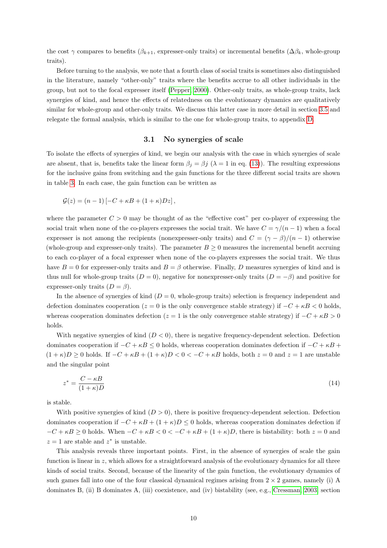the cost  $\gamma$  compares to benefits ( $\beta_{k+1}$ , expresser-only traits) or incremental benefits ( $\Delta \beta_k$ , whole-group traits).

Before turning to the analysis, we note that a fourth class of social traits is sometimes also distinguished in the literature, namely "other-only" traits where the benefits accrue to all other individuals in the group, but not to the focal expresser itself [\(Pepper, 2000\)](#page-29-17). Other-only traits, as whole-group traits, lack synergies of kind, and hence the effects of relatedness on the evolutionary dynamics are qualitatively similar for whole-group and other-only traits. We discuss this latter case in more detail in section [3.5](#page-13-0) and relegate the formal analysis, which is similar to the one for whole-group traits, to appendix [D.](#page-21-0)

## 3.1 No synergies of scale

<span id="page-9-0"></span>To isolate the effects of synergies of kind, we begin our analysis with the case in which synergies of scale are absent, that is, benefits take the linear form  $\beta_j = \beta_j$  ( $\lambda = 1$  in eq. [\(13\)](#page-8-0)). The resulting expressions for the inclusive gains from switching and the gain functions for the three different social traits are shown in table [3.](#page-36-0) In each case, the gain function can be written as

$$
\mathcal{G}(z) = (n-1)\left[-C + \kappa B + (1+\kappa)Dz\right],
$$

where the parameter  $C > 0$  may be thought of as the "effective cost" per co-player of expressing the social trait when none of the co-players expresses the social trait. We have  $C = \gamma/(n-1)$  when a focal expresser is not among the recipients (nonexpresser-only traits) and  $C = (\gamma - \beta)/(n - 1)$  otherwise (whole-group and expresser-only traits). The parameter  $B \geq 0$  measures the incremental benefit accruing to each co-player of a focal expresser when none of the co-players expresses the social trait. We thus have  $B = 0$  for expresser-only traits and  $B = \beta$  otherwise. Finally, D measures synergies of kind and is thus null for whole-group traits  $(D = 0)$ , negative for nonexpresser-only traits  $(D = -\beta)$  and positive for expresser-only traits  $(D = \beta)$ .

In the absence of synergies of kind  $(D = 0,$  whole-group traits) selection is frequency independent and defection dominates cooperation ( $z = 0$  is the only convergence stable strategy) if  $-C + \kappa B < 0$  holds, whereas cooperation dominates defection ( $z = 1$  is the only convergence stable strategy) if  $-C + \kappa B > 0$ holds.

With negative synergies of kind  $(D < 0)$ , there is negative frequency-dependent selection. Defection dominates cooperation if  $-C + \kappa B \leq 0$  holds, whereas cooperation dominates defection if  $-C + \kappa B + C$  $(1 + \kappa)D \ge 0$  holds. If  $-C + \kappa B + (1 + \kappa)D < 0 < -C + \kappa B$  holds, both  $z = 0$  and  $z = 1$  are unstable and the singular point

<span id="page-9-1"></span>
$$
z^* = \frac{C - \kappa B}{(1 + \kappa)D} \tag{14}
$$

is stable.

With positive synergies of kind  $(D > 0)$ , there is positive frequency-dependent selection. Defection dominates cooperation if  $-C + \kappa B + (1 + \kappa)D \leq 0$  holds, whereas cooperation dominates defection if  $-C + \kappa B \ge 0$  holds. When  $-C + \kappa B < 0 < -C + \kappa B + (1 + \kappa)D$ , there is bistability: both  $z = 0$  and  $z = 1$  are stable and  $z^*$  is unstable.

This analysis reveals three important points. First, in the absence of synergies of scale the gain function is linear in z, which allows for a straightforward analysis of the evolutionary dynamics for all three kinds of social traits. Second, because of the linearity of the gain function, the evolutionary dynamics of such games fall into one of the four classical dynamical regimes arising from  $2 \times 2$  games, namely (i) A dominates B, (ii) B dominates A, (iii) coexistence, and (iv) bistability (see, e.g., [Cressman, 2003,](#page-26-15) section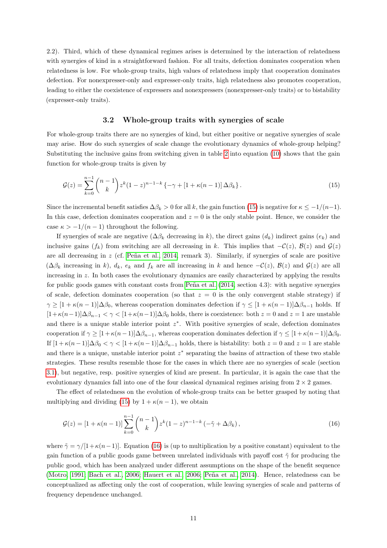2.2). Third, which of these dynamical regimes arises is determined by the interaction of relatedness with synergies of kind in a straightforward fashion. For all traits, defection dominates cooperation when relatedness is low. For whole-group traits, high values of relatedness imply that cooperation dominates defection. For nonexpresser-only and expresser-only traits, high relatedness also promotes cooperation, leading to either the coexistence of expressers and nonexpressers (nonexpresser-only traits) or to bistability (expresser-only traits).

#### <span id="page-10-0"></span>3.2 Whole-group traits with synergies of scale

<span id="page-10-2"></span>For whole-group traits there are no synergies of kind, but either positive or negative synergies of scale may arise. How do such synergies of scale change the evolutionary dynamics of whole-group helping? Substituting the inclusive gains from switching given in table [2](#page-35-0) into equation [\(10\)](#page-7-0) shows that the gain function for whole-group traits is given by

$$
\mathcal{G}(z) = \sum_{k=0}^{n-1} {n-1 \choose k} z^k (1-z)^{n-1-k} \{-\gamma + [1 + \kappa(n-1)] \Delta \beta_k \}.
$$
\n(15)

Since the incremental benefit satisfies  $\Delta \beta_k > 0$  for all k, the gain function [\(15\)](#page-10-0) is negative for  $\kappa \leq -1/(n-1)$ . In this case, defection dominates cooperation and  $z = 0$  is the only stable point. Hence, we consider the case  $\kappa > -1/(n-1)$  throughout the following.

If synergies of scale are negative  $(\Delta \beta_k)$  decreasing in k), the direct gains  $(d_k)$  indirect gains  $(e_k)$  and inclusive gains  $(f_k)$  from switching are all decreasing in k. This implies that  $-\mathcal{C}(z)$ ,  $\mathcal{B}(z)$  and  $\mathcal{G}(z)$ are all decreasing in  $z$  (cf. Peña et al., 2014, remark 3). Similarly, if synergies of scale are positive  $(\Delta\beta_k)$  increasing in k),  $d_k$ ,  $e_k$  and  $f_k$  are all increasing in k and hence  $-\mathcal{C}(z)$ ,  $\mathcal{B}(z)$  and  $\mathcal{G}(z)$  are all increasing in z. In both cases the evolutionary dynamics are easily characterized by applying the results for public goods games with constant costs from Peña et al.  $(2014, \text{ section } 4.3)$  $(2014, \text{ section } 4.3)$ : with negative synergies of scale, defection dominates cooperation (so that  $z = 0$  is the only convergent stable strategy) if  $\gamma \geq [1 + \kappa(n-1)]\Delta\beta_0$ , whereas cooperation dominates defection if  $\gamma \leq [1 + \kappa(n-1)]\Delta\beta_{n-1}$  holds. If  $[1+\kappa(n-1)]\Delta\beta_{n-1} < \gamma < [1+\kappa(n-1)]\Delta\beta_0$  holds, there is coexistence: both  $z = 0$  and  $z = 1$  are unstable and there is a unique stable interior point  $z^*$ . With positive synergies of scale, defection dominates cooperation if  $\gamma \geq [1 + \kappa(n-1)]\Delta\beta_{n-1}$ , whereas cooperation dominates defection if  $\gamma \leq [1 + \kappa(n-1)]\Delta\beta_0$ . If  $[1 + \kappa(n-1)]\Delta\beta_0 < \gamma < [1 + \kappa(n-1)]\Delta\beta_{n-1}$  holds, there is bistability: both  $z = 0$  and  $z = 1$  are stable and there is a unique, unstable interior point  $z^*$  separating the basins of attraction of these two stable strategies. These results resemble those for the cases in which there are no synergies of scale (section [3.1\)](#page-9-0), but negative, resp. positive synergies of kind are present. In particular, it is again the case that the evolutionary dynamics fall into one of the four classical dynamical regimes arising from  $2 \times 2$  games.

The effect of relatedness on the evolution of whole-group traits can be better grasped by noting that multiplying and dividing [\(15\)](#page-10-0) by  $1 + \kappa(n-1)$ , we obtain

<span id="page-10-1"></span>
$$
\mathcal{G}(z) = \left[1 + \kappa(n-1)\right] \sum_{k=0}^{n-1} {n-1 \choose k} z^k (1-z)^{n-1-k} \left(-\tilde{\gamma} + \Delta \beta_k\right),\tag{16}
$$

where  $\tilde{\gamma} = \gamma/[1 + \kappa(n-1)]$ . Equation [\(16\)](#page-10-1) is (up to multiplication by a positive constant) equivalent to the gain function of a public goods game between unrelated individuals with payoff cost  $\tilde{\gamma}$  for producing the public good, which has been analyzed under different assumptions on the shape of the benefit sequence [\(Motro, 1991;](#page-29-4) [Bach et al., 2006;](#page-26-16) [Hauert et al., 2006;](#page-28-6) Peña et al., 2014). Hence, relatedness can be conceptualized as affecting only the cost of cooperation, while leaving synergies of scale and patterns of frequency dependence unchanged.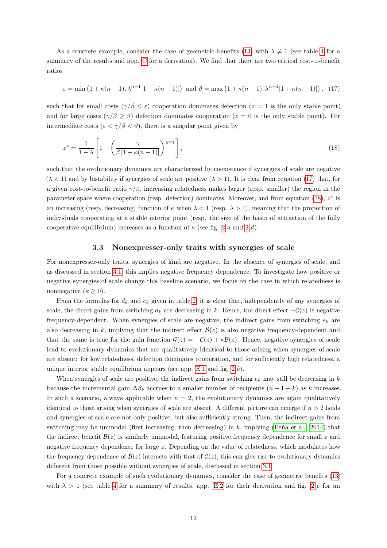As a concrete example, consider the case of geometric benefits [\(13\)](#page-8-0) with  $\lambda \neq 1$  (see table [4](#page-37-0) for a summary of the results and app. [C](#page-20-0) for a derivation). We find that there are two critical cost-to-benefit ratios

<span id="page-11-0"></span>
$$
\varepsilon = \min\left(1 + \kappa(n-1), \lambda^{n-1}[1 + \kappa(n-1)]\right) \text{ and } \vartheta = \max\left(1 + \kappa(n-1), \lambda^{n-1}[1 + \kappa(n-1)]\right), \tag{17}
$$

such that for small costs  $(\gamma/\beta \leq \varepsilon)$  cooperation dominates defection  $(z = 1$  is the only stable point) and for large costs  $(\gamma/\beta \geq \vartheta)$  defection dominates cooperation  $(z = 0$  is the only stable point). For intermediate costs  $(\varepsilon < \gamma/\beta < \vartheta)$ , there is a singular point given by

<span id="page-11-1"></span>
$$
z^* = \frac{1}{1-\lambda} \left[ 1 - \left( \frac{\gamma}{\beta \left[ 1 + \kappa (n-1) \right]} \right)^{\frac{1}{n-1}} \right],\tag{18}
$$

such that the evolutionary dynamics are characterized by coexistence if synergies of scale are negative  $(\lambda < 1)$  and by bistability if synergies of scale are positive  $(\lambda > 1)$ . It is clear from equation [\(17\)](#page-11-0) that, for a given cost-to-benefit ratio  $\gamma/\beta$ , increasing relatedness makes larger (resp. smaller) the region in the parameter space where cooperation (resp. defection) dominates. Moreover, and from equation [\(18\)](#page-11-1),  $z^*$  is an increasing (resp. decreasing) function of  $\kappa$  when  $\lambda < 1$  (resp.  $\lambda > 1$ ), meaning that the proportion of individuals cooperating at a stable interior point (resp. the size of the basin of attraction of the fully cooperative equilibrium) increases as a function of  $\kappa$  (see fig. [2.](#page-33-0)a and 2.d).

#### 3.3 Nonexpresser-only traits with synergies of scale

For nonexpresser-only traits, synergies of kind are negative. In the absence of synergies of scale, and as discussed in section [3.1,](#page-9-0) this implies negative frequency dependence. To investigate how positive or negative synergies of scale change this baseline scenario, we focus on the case in which relatedness is nonnegative  $(\kappa \geq 0)$ .

From the formulas for  $d_k$  and  $e_k$  given in table [2,](#page-35-0) it is clear that, independently of any synergies of scale, the direct gains from switching  $d_k$  are decreasing in k. Hence, the direct effect  $-\mathcal{C}(z)$  is negative frequency-dependent. When synergies of scale are negative, the indirect gains from switching  $e_k$  are also decreasing in k, implying that the indirect effect  $\mathcal{B}(z)$  is also negative frequency-dependent and that the same is true for the gain function  $\mathcal{G}(z) = -\mathcal{C}(z) + \kappa \mathcal{B}(z)$ . Hence, negative synergies of scale lead to evolutionary dynamics that are qualitatively identical to those arising when synergies of scale are absent: for low relatedness, defection dominates cooperation, and for sufficiently high relatedness, a unique interior stable equilibrium appears (see app.  $E.1$  and fig.  $2.b$ ).

When synergies of scale are positive, the indirect gains from switching  $e_k$  may still be decreasing in k because the incremental gain  $\Delta \beta_k$  accrues to a smaller number of recipients  $(n-1-k)$  as k increases. In such a scenario, always applicable when  $n = 2$ , the evolutionary dynamics are again qualitatively identical to those arising when synergies of scale are absent. A different picture can emerge if  $n > 2$  holds and synergies of scale are not only positive, but also sufficiently strong. Then, the indirect gains from switching may be unimodal (first increasing, then decreasing) in  $k$ , implying (Peña et al., 2014) that the indirect benefit  $\mathcal{B}(z)$  is similarly unimodal, featuring positive frequency dependence for small z and negative frequency dependence for large z. Depending on the value of relatedness, which modulates how the frequency dependence of  $\mathcal{B}(z)$  interacts with that of  $\mathcal{C}(z)$ , this can give rise to evolutionary dynamics different from those possible without synergies of scale, discussed in section [3.1.](#page-9-0)

For a concrete example of such evolutionary dynamics, consider the case of geometric benefits [\(13\)](#page-8-0) with  $\lambda > 1$  (see table [4](#page-37-0) for a summary of results, app. [E.2](#page-22-1) for their derivation and fig. [2.](#page-33-0)e for an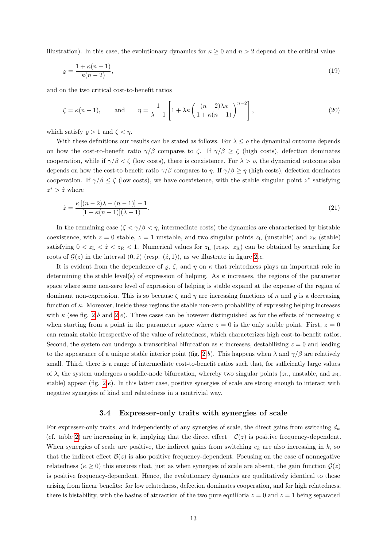illustration). In this case, the evolutionary dynamics for  $\kappa \geq 0$  and  $n > 2$  depend on the critical value

<span id="page-12-0"></span>
$$
\varrho = \frac{1 + \kappa(n-1)}{\kappa(n-2)},\tag{19}
$$

and on the two critical cost-to-benefit ratios

<span id="page-12-1"></span>
$$
\zeta = \kappa(n-1), \quad \text{and} \quad \eta = \frac{1}{\lambda - 1} \left[ 1 + \lambda \kappa \left( \frac{(n-2)\lambda \kappa}{1 + \kappa(n-1)} \right)^{n-2} \right], \tag{20}
$$

which satisfy  $\rho > 1$  and  $\zeta < \eta$ .

With these definitions our results can be stated as follows. For  $\lambda \leq \rho$  the dynamical outcome depends on how the cost-to-benefit ratio  $\gamma/\beta$  compares to  $\zeta$ . If  $\gamma/\beta \geq \zeta$  (high costs), defection dominates cooperation, while if  $\gamma/\beta < \zeta$  (low costs), there is coexistence. For  $\lambda > \varrho$ , the dynamical outcome also depends on how the cost-to-benefit ratio  $\gamma/\beta$  compares to  $\eta$ . If  $\gamma/\beta \geq \eta$  (high costs), defection dominates cooperation. If  $\gamma/\beta \leq \zeta$  (low costs), we have coexistence, with the stable singular point  $z^*$  satisfying  $z^*$  >  $\hat{z}$  where

<span id="page-12-2"></span>
$$
\hat{z} = \frac{\kappa \left[ (n-2)\lambda - (n-1) \right] - 1}{[1 + \kappa (n-1)](\lambda - 1)}.
$$
\n(21)

In the remaining case  $(\zeta \langle \gamma/\beta \langle \eta \rangle)$ , intermediate costs) the dynamics are characterized by bistable coexistence, with  $z = 0$  stable,  $z = 1$  unstable, and two singular points  $z<sub>L</sub>$  (unstable) and  $z<sub>R</sub>$  (stable) satisfying  $0 < z_L < \hat{z} < z_R < 1$ . Numerical values for  $z_L$  (resp.  $z_R$ ) can be obtained by searching for roots of  $\mathcal{G}(z)$  in the interval  $(0, \hat{z})$  (resp.  $(\hat{z}, 1)$ ), as we illustrate in figure [2.](#page-33-0)e.

It is evident from the dependence of  $\varrho$ ,  $\zeta$ , and  $\eta$  on  $\kappa$  that relatedness plays an important role in determining the stable level(s) of expression of helping. As  $\kappa$  increases, the regions of the parameter space where some non-zero level of expression of helping is stable expand at the expense of the region of dominant non-expression. This is so because  $\zeta$  and  $\eta$  are increasing functions of  $\kappa$  and  $\rho$  is a decreasing function of  $\kappa$ . Moreover, inside these regions the stable non-zero probability of expressing helping increases with  $\kappa$  (see fig. [2.](#page-33-0)b and 2.e). Three cases can be however distinguished as for the effects of increasing  $\kappa$ when starting from a point in the parameter space where  $z = 0$  is the only stable point. First,  $z = 0$ can remain stable irrespective of the value of relatedness, which characterizes high cost-to-benefit ratios. Second, the system can undergo a transcritical bifurcation as  $\kappa$  increases, destabilizing  $z = 0$  and leading to the appearance of a unique stable interior point (fig. [2.](#page-33-0)b). This happens when  $\lambda$  and  $\gamma/\beta$  are relatively small. Third, there is a range of intermediate cost-to-benefit ratios such that, for sufficiently large values of  $\lambda$ , the system undergoes a saddle-node bifurcation, whereby two singular points ( $z_L$ , unstable, and  $z_R$ , stable) appear (fig. [2.](#page-33-0)e). In this latter case, positive synergies of scale are strong enough to interact with negative synergies of kind and relatedness in a nontrivial way.

#### 3.4 Expresser-only traits with synergies of scale

For expresser-only traits, and independently of any synergies of scale, the direct gains from switching  $d_k$ (cf. table [2\)](#page-35-0) are increasing in k, implying that the direct effect  $-\mathcal{C}(z)$  is positive frequency-dependent. When synergies of scale are positive, the indirect gains from switching  $e_k$  are also increasing in k, so that the indirect effect  $\mathcal{B}(z)$  is also positive frequency-dependent. Focusing on the case of nonnegative relatedness ( $\kappa \geq 0$ ) this ensures that, just as when synergies of scale are absent, the gain function  $\mathcal{G}(z)$ is positive frequency-dependent. Hence, the evolutionary dynamics are qualitatively identical to those arising from linear benefits: for low relatedness, defection dominates cooperation, and for high relatedness, there is bistability, with the basins of attraction of the two pure equilibria  $z = 0$  and  $z = 1$  being separated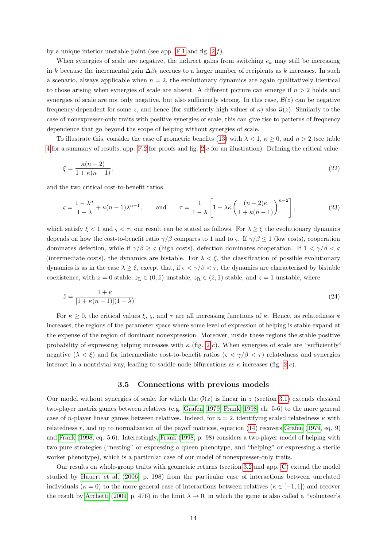by a unique interior unstable point (see app.  $F.1$  and fig.  $2.f$ ).

When synergies of scale are negative, the indirect gains from switching  $e_k$  may still be increasing in k because the incremental gain  $\Delta \beta_k$  accrues to a larger number of recipients as k increases. In such a scenario, always applicable when  $n = 2$ , the evolutionary dynamics are again qualitatively identical to those arising when synergies of scale are absent. A different picture can emerge if  $n > 2$  holds and synergies of scale are not only negative, but also sufficiently strong. In this case,  $\mathcal{B}(z)$  can be negative frequency-dependent for some z, and hence (for sufficiently high values of  $\kappa$ ) also  $\mathcal{G}(z)$ . Similarly to the case of nonexpresser-only traits with positive synergies of scale, this can give rise to patterns of frequency dependence that go beyond the scope of helping without synergies of scale.

To illustrate this, consider the case of geometric benefits [\(13\)](#page-8-0) with  $\lambda < 1$ ,  $\kappa \ge 0$ , and  $n > 2$  (see table [4](#page-37-0) for a summary of results, app. [F.2](#page-24-1) for proofs and fig. [2.](#page-33-0)c for an illustration). Defining the critical value

<span id="page-13-1"></span>
$$
\xi = \frac{\kappa(n-2)}{1 + \kappa(n-1)},\tag{22}
$$

and the two critical cost-to-benefit ratios

<span id="page-13-2"></span>
$$
\varsigma = \frac{1 - \lambda^n}{1 - \lambda} + \kappa (n - 1) \lambda^{n - 1}, \quad \text{and} \quad \tau = \frac{1}{1 - \lambda} \left[ 1 + \lambda \kappa \left( \frac{(n - 2)\kappa}{1 + \kappa (n - 1)} \right)^{n - 2} \right],
$$
 (23)

which satisfy  $\xi < 1$  and  $\varsigma < \tau$ , our result can be stated as follows. For  $\lambda \geq \xi$  the evolutionary dynamics depends on how the cost-to-benefit ratio  $\gamma/\beta$  compares to 1 and to  $\zeta$ . If  $\gamma/\beta \leq 1$  (low costs), cooperation dominates defection, while if  $\gamma/\beta \geq \varsigma$  (high costs), defection dominates cooperation. If  $1 < \gamma/\beta < \varsigma$ (intermediate costs), the dynamics are bistable. For  $\lambda < \xi$ , the classification of possible evolutionary dynamics is as in the case  $\lambda \geq \xi$ , except that, if  $\zeta < \gamma/\beta < \tau$ , the dynamics are characterized by bistable coexistence, with  $z = 0$  stable,  $z_L \in (0, \hat{z})$  unstable,  $z_R \in (\hat{z}, 1)$  stable, and  $z = 1$  unstable, where

$$
\hat{z} = \frac{1+\kappa}{[1+\kappa(n-1)](1-\lambda)}.\tag{24}
$$

For  $\kappa \geq 0$ , the critical values  $\xi$ ,  $\varsigma$ , and  $\tau$  are all increasing functions of  $\kappa$ . Hence, as relatedness  $\kappa$ increases, the regions of the parameter space where some level of expression of helping is stable expand at the expense of the region of dominant nonexpression. Moreover, inside these regions the stable positive probability of expressing helping increases with  $\kappa$  (fig. [2.](#page-33-0)c). When synergies of scale are "sufficiently" negative  $(\lambda < \xi)$  and for intermediate cost-to-benefit ratios  $(\varsigma < \gamma/\beta < \tau)$  relatedness and synergies interact in a nontrivial way, leading to saddle-node bifurcations as  $\kappa$  increases (fig. [2.](#page-33-0)c).

#### <span id="page-13-3"></span>3.5 Connections with previous models

<span id="page-13-0"></span>Our model without synergies of scale, for which the  $\mathcal{G}(z)$  is linear in z (section [3.1\)](#page-9-0) extends classical two-player matrix games between relatives (e.g. [Grafen, 1979,](#page-27-4) [Frank, 1998,](#page-27-17) ch. 5-6) to the more general case of n-player linear games between relatives. Indeed, for  $n = 2$ , identifying scaled relatedness  $\kappa$  with relatedness  $r$ , and up to normalization of the payoff matrices, equation [\(14\)](#page-9-1) recovers [Grafen](#page-27-4) [\(1979,](#page-27-4) eq. 9) and [Frank](#page-27-17) [\(1998,](#page-27-17) eq. 5.6). Interestingly, [Frank](#page-27-17) [\(1998,](#page-27-17) p. 98) considers a two-player model of helping with two pure strategies ("nesting" or expressing a queen phenotype, and "helping" or expressing a sterile worker phenotype), which is a particular case of our model of nonexpresser-only traits.

Our results on whole-group traits with geometric returns (section [3.2](#page-10-2) and app. [C\)](#page-20-0) extend the model studied by [Hauert et al.](#page-28-6) [\(2006,](#page-28-6) p. 198) from the particular case of interactions between unrelated individuals ( $\kappa = 0$ ) to the more general case of interactions between relatives ( $\kappa \in [-1,1]$ ) and recover the result by [Archetti](#page-26-7) [\(2009,](#page-26-7) p. 476) in the limit  $\lambda \to 0$ , in which the game is also called a "volunteer's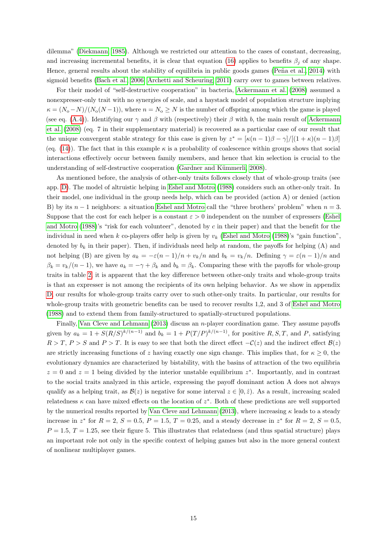dilemma" [\(Diekmann, 1985\)](#page-27-18). Although we restricted our attention to the cases of constant, decreasing, and increasing incremental benefits, it is clear that equation [\(16\)](#page-10-1) applies to benefits  $\beta_i$  of any shape. Hence, general results about the stability of equilibria in public goods games (Peña et al., 2014) with sigmoid benefits [\(Bach et al., 2006;](#page-26-16) [Archetti and Scheuring, 2011\)](#page-26-17) carry over to games between relatives.

For their model of "self-destructive cooperation" in bacteria, [Ackermann et al.](#page-26-4) [\(2008\)](#page-26-4) assumed a nonexpresser-only trait with no synergies of scale, and a haystack model of population structure implying  $\kappa = (N_o - N)/(N_o(N-1))$ , where  $n = N_o \ge N$  is the number of offspring among which the game is played (see eq. [\(A.4\)](#page-19-1)). Identifying our  $\gamma$  and  $\beta$  with (respectively) their  $\beta$  with b, the main result of [Ackermann](#page-26-4) [et al.](#page-26-4) [\(2008\)](#page-26-4) (eq. 7 in their supplementary material) is recovered as a particular case of our result that the unique convergent stable strategy for this case is given by  $z^* = [\kappa(n-1)\beta - \gamma]/[(1+\kappa)(n-1)\beta]$ (eq. [\(14\)](#page-9-1)). The fact that in this example  $\kappa$  is a probability of coalescence within groups shows that social interactions effectively occur between family members, and hence that kin selection is crucial to the understanding of self-destructive cooperation (Gardner and Kümmerli, 2008).

As mentioned before, the analysis of other-only traits follows closely that of whole-group traits (see app. [D\)](#page-21-0). The model of altruistic helping in [Eshel and Motro](#page-27-6) [\(1988\)](#page-27-6) considers such an other-only trait. In their model, one individual in the group needs help, which can be provided (action A) or denied (action B) by its  $n-1$  neighbors: a situation [Eshel and Motro](#page-27-6) call the "three brothers' problem" when  $n=3$ . Suppose that the cost for each helper is a constant  $\varepsilon > 0$  independent on the number of expressers [\(Eshel](#page-27-6) [and Motro](#page-27-6) [\(1988\)](#page-27-6)'s "risk for each volunteer", denoted by  $c$  in their paper) and that the benefit for the individual in need when k co-players offer help is given by  $v_k$  [\(Eshel and Motro](#page-27-6) [\(1988\)](#page-27-6)'s "gain function", denoted by  $b_k$  in their paper). Then, if individuals need help at random, the payoffs for helping (A) and not helping (B) are given by  $a_k = -\varepsilon (n-1)/n + v_k/n$  and  $b_k = v_k/n$ . Defining  $\gamma = \varepsilon (n-1)/n$  and  $\beta_k = v_k/(n-1)$ , we have  $a_k = -\gamma + \beta_k$  and  $b_k = \beta_k$ . Comparing these with the payoffs for whole-group traits in table [2,](#page-35-0) it is apparent that the key difference between other-only traits and whole-group traits is that an expresser is not among the recipients of its own helping behavior. As we show in appendix [D,](#page-21-0) our results for whole-group traits carry over to such other-only traits. In particular, our results for whole-group traits with geometric benefits can be used to recover results 1,2, and 3 of [Eshel and Motro](#page-27-6) [\(1988\)](#page-27-6) and to extend them from family-structured to spatially-structured populations.

Finally, [Van Cleve and Lehmann](#page-30-7) [\(2013\)](#page-30-7) discuss an *n*-player coordination game. They assume payoffs given by  $a_k = 1 + S(R/S)^{k/(n-1)}$  and  $b_k = 1 + P(T/P)^{k/(n-1)}$ , for positive  $R, S, T$ , and  $P$ , satisfying  $R > T$ ,  $P > S$  and  $P > T$ . It is easy to see that both the direct effect  $-\mathcal{C}(z)$  and the indirect effect  $\mathcal{B}(z)$ are strictly increasing functions of z having exactly one sign change. This implies that, for  $\kappa > 0$ , the evolutionary dynamics are characterized by bistability, with the basins of attraction of the two equilibria  $z = 0$  and  $z = 1$  being divided by the interior unstable equilibrium  $z^*$ . Importantly, and in contrast to the social traits analyzed in this article, expressing the payoff dominant action A does not always qualify as a helping trait, as  $\mathcal{B}(z)$  is negative for some interval  $z \in [0, \hat{z})$ . As a result, increasing scaled relatedness  $\kappa$  can have mixed effects on the location of  $z^*$ . Both of these predictions are well supported by the numerical results reported by [Van Cleve and Lehmann](#page-30-7) [\(2013\)](#page-30-7), where increasing  $\kappa$  leads to a steady increase in  $z^*$  for  $R = 2$ ,  $S = 0.5$ ,  $P = 1.5$ ,  $T = 0.25$ , and a steady decrease in  $z^*$  for  $R = 2$ ,  $S = 0.5$ ,  $P = 1.5, T = 1.25$ , see their figure 5. This illustrates that relatedness (and thus spatial structure) plays an important role not only in the specific context of helping games but also in the more general context of nonlinear multiplayer games.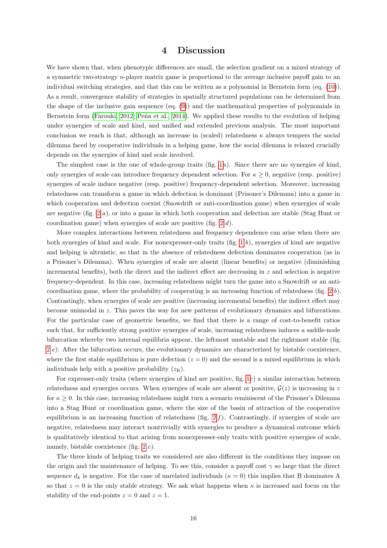## 4 Discussion

We have shown that, when phenotypic differences are small, the selection gradient on a mixed strategy of a symmetric two-strategy n-player matrix game is proportional to the average inclusive payoff gain to an individual switching strategies, and that this can be written as a polynomial in Bernstein form (eq. [\(10\)](#page-7-0)). As a result, convergence stability of strategies in spatially structured populations can be determined from the shape of the inclusive gain sequence (eq. [\(9\)](#page-6-2)) and the mathematical properties of polynomials in Bernstein form [\(Farouki, 2012;](#page-27-13) Peña et al., 2014). We applied these results to the evolution of helping under synergies of scale and kind, and unified and extended previous analysis. The most important conclusion we reach is that, although an increase in (scaled) relatedness  $\kappa$  always tempers the social dilemma faced by cooperative individuals in a helping game, how the social dilemma is relaxed crucially depends on the synergies of kind and scale involved.

The simplest case is the one of whole-group traits (fig. [1](#page-32-0)a). Since there are no synergies of kind, only synergies of scale can introduce frequency dependent selection. For  $\kappa \geq 0$ , negative (resp. positive) synergies of scale induce negative (resp. positive) frequency-dependent selection. Moreover, increasing relatedness can transform a game in which defection is dominant (Prisoner's Dilemma) into a game in which cooperation and defection coexist (Snowdrift or anti-coordination game) when synergies of scale are negative (fig. [2.](#page-33-0)a), or into a game in which both cooperation and defection are stable (Stag Hunt or coordination game) when synergies of scale are positive (fig. [2.](#page-33-0)d).

More complex interactions between relatedness and frequency dependence can arise when there are both synergies of kind and scale. For nonexpresser-only traits (fig. [1.](#page-32-0)b), synergies of kind are negative and helping is altruistic, so that in the absence of relatedness defection dominates cooperation (as in a Prisoner's Dilemma). When synergies of scale are absent (linear benefits) or negative (diminishing incremental benefits), both the direct and the indirect effect are decreasing in  $z$  and selection is negative frequency-dependent. In this case, increasing relatedness might turn the game into a Snowdrift or an anti-coordination game, where the probability of cooperating is an increasing function of relatedness (fig. [2.](#page-33-0)b). Contrastingly, when synergies of scale are positive (increasing incremental benefits) the indirect effect may become unimodal in z. This paves the way for new patterns of evolutionary dynamics and bifurcations. For the particular case of geometric benefits, we find that there is a range of cost-to-benefit ratios such that, for sufficiently strong positive synergies of scale, increasing relatedness induces a saddle-node bifurcation whereby two internal equilibria appear, the leftmost unstable and the rightmost stable (fig. [2.](#page-33-0)e). After the bifurcation occurs, the evolutionary dynamics are characterized by bistable coexistence, where the first stable equilibrium is pure defection  $(z = 0)$  and the second is a mixed equilibrium in which individuals help with a positive probability  $(z_R)$ .

For expresser-only traits (where synergies of kind are positive, fig. [1](#page-32-0)c) a similar interaction between relatedness and synergies occurs. When synergies of scale are absent or positive,  $\mathcal{G}(z)$  is increasing in z for  $\kappa \geq 0$ . In this case, increasing relatedness might turn a scenario reminiscent of the Prisoner's Dilemma into a Stag Hunt or coordination game, where the size of the basin of attraction of the cooperative equilibrium is an increasing function of relatedness (fig.  $2.f$ ). Contrastingly, if synergies of scale are negative, relatedness may interact nontrivially with synergies to produce a dynamical outcome which is qualitatively identical to that arising from nonexpresser-only traits with positive synergies of scale, namely, bistable coexistence (fig. [2.](#page-33-0)c).

The three kinds of helping traits we considered are also different in the conditions they impose on the origin and the maintenance of helping. To see this, consider a payoff cost  $\gamma$  so large that the direct sequence  $d_k$  is negative. For the case of unrelated individuals ( $\kappa = 0$ ) this implies that B dominates A so that  $z = 0$  is the only stable strategy. We ask what happens when  $\kappa$  is increased and focus on the stability of the end-points  $z = 0$  and  $z = 1$ .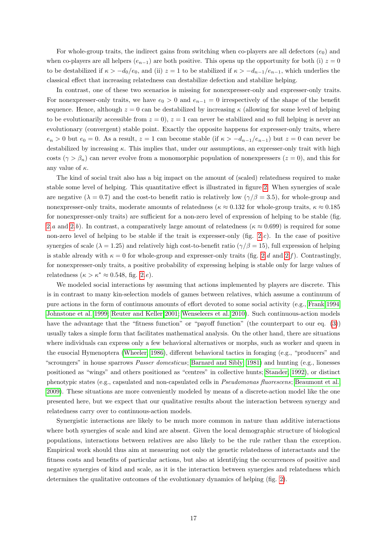For whole-group traits, the indirect gains from switching when co-players are all defectors  $(e_0)$  and when co-players are all helpers  $(e_{n-1})$  are both positive. This opens up the opportunity for both (i)  $z = 0$ to be destabilized if  $\kappa > -d_0/e_0$ , and (ii)  $z = 1$  to be stabilized if  $\kappa > -d_{n-1}/e_{n-1}$ , which underlies the classical effect that increasing relatedness can destabilize defection and stabilize helping.

In contrast, one of these two scenarios is missing for nonexpresser-only and expresser-only traits. For nonexpresser-only traits, we have  $e_0 > 0$  and  $e_{n-1} = 0$  irrespectively of the shape of the benefit sequence. Hence, although  $z = 0$  can be destabilized by increasing  $\kappa$  (allowing for some level of helping to be evolutionarily accessible from  $z = 0$ ,  $z = 1$  can never be stabilized and so full helping is never an evolutionary (convergent) stable point. Exactly the opposite happens for expresser-only traits, where  $e_n > 0$  but  $e_0 = 0$ . As a result,  $z = 1$  can become stable (if  $\kappa > -d_{n-1}/e_{n-1}$ ) but  $z = 0$  can never be destabilized by increasing  $\kappa$ . This implies that, under our assumptions, an expresser-only trait with high costs ( $\gamma > \beta_n$ ) can never evolve from a monomorphic population of nonexpressers ( $z = 0$ ), and this for any value of  $\kappa$ .

The kind of social trait also has a big impact on the amount of (scaled) relatedness required to make stable some level of helping. This quantitative effect is illustrated in figure [2.](#page-33-0) When synergies of scale are negative ( $\lambda = 0.7$ ) and the cost-to benefit ratio is relatively low ( $\gamma/\beta = 3.5$ ), for whole-group and nonexpresser-only traits, moderate amounts of relatedness ( $\kappa \approx 0.132$  for whole-group traits,  $\kappa \approx 0.185$ for nonexpresser-only traits) are sufficient for a non-zero level of expression of helping to be stable (fig. [2.](#page-33-0)a and [2.](#page-33-0)b). In contrast, a comparatively large amount of relatedness ( $\kappa \approx 0.699$ ) is required for some non-zero level of helping to be stable if the trait is expresser-only (fig. [2.](#page-33-0)c). In the case of positive synergies of scale ( $\lambda = 1.25$ ) and relatively high cost-to-benefit ratio ( $\gamma/\beta = 15$ ), full expression of helping is stable already with  $\kappa = 0$  for whole-group and expresser-only traits (fig. [2.](#page-33-0)d and 2.f). Contrastingly, for nonexpresser-only traits, a positive probability of expressing helping is stable only for large values of relatedness  $(\kappa > \kappa^* \approx 0.548, \text{ fig. } 2.e).$  $(\kappa > \kappa^* \approx 0.548, \text{ fig. } 2.e).$  $(\kappa > \kappa^* \approx 0.548, \text{ fig. } 2.e).$ 

We modeled social interactions by assuming that actions implemented by players are discrete. This is in contrast to many kin-selection models of games between relatives, which assume a continuum of pure actions in the form of continuous amounts of effort devoted to some social activity (e.g., [Frank 1994;](#page-27-20) [Johnstone et al. 1999;](#page-28-18) [Reuter and Keller 2001;](#page-29-18) [Wenseleers et al. 2010\)](#page-30-17). Such continuous-action models have the advantage that the "fitness function" or "payoff function" (the counterpart to our eq. [\(3\)](#page-4-2)) usually takes a simple form that facilitates mathematical analysis. On the other hand, there are situations where individuals can express only a few behavioral alternatives or morphs, such as worker and queen in the eusocial Hymenoptera [\(Wheeler, 1986\)](#page-30-18), different behavioral tactics in foraging (e.g., "producers" and "scroungers" in house sparrows Passer domesticus; [Barnard and Sibly, 1981\)](#page-26-18) and hunting (e.g., lionesses positioned as "wings" and others positioned as "centres" in collective hunts; [Stander, 1992\)](#page-30-19), or distinct phenotypic states (e.g., capsulated and non-capsulated cells in Pseudomonas fluorescens; [Beaumont et al.,](#page-26-19) [2009\)](#page-26-19). These situations are more conveniently modeled by means of a discrete-action model like the one presented here, but we expect that our qualitative results about the interaction between synergy and relatedness carry over to continuous-action models.

Synergistic interactions are likely to be much more common in nature than additive interactions where both synergies of scale and kind are absent. Given the local demographic structure of biological populations, interactions between relatives are also likely to be the rule rather than the exception. Empirical work should thus aim at measuring not only the genetic relatedness of interactants and the fitness costs and benefits of particular actions, but also at identifying the occurrences of positive and negative synergies of kind and scale, as it is the interaction between synergies and relatedness which determines the qualitative outcomes of the evolutionary dynamics of helping (fig. [2\)](#page-33-0).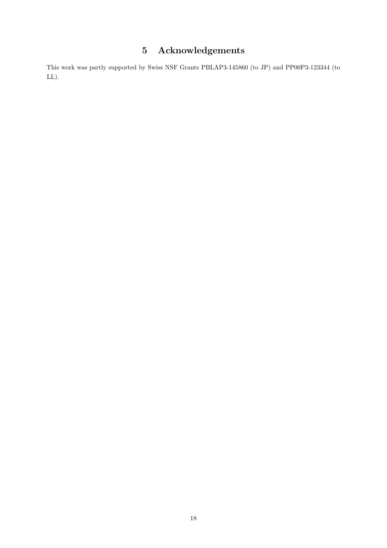## 5 Acknowledgements

This work was partly supported by Swiss NSF Grants PBLAP3-145860 (to JP) and PP00P3-123344 (to LL).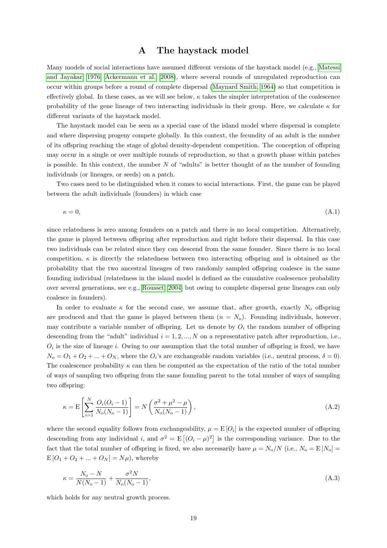## A The haystack model

<span id="page-18-0"></span>Many models of social interactions have assumed different versions of the haystack model (e.g., [Matessi](#page-28-12) [and Jayakar, 1976;](#page-28-12) [Ackermann et al., 2008\)](#page-26-4), where several rounds of unregulated reproduction can occur within groups before a round of complete dispersal [\(Maynard Smith, 1964\)](#page-29-19) so that competition is effectively global. In these cases, as we will see below,  $\kappa$  takes the simpler interpretation of the coalescence probability of the gene lineage of two interacting individuals in their group. Here, we calculate  $\kappa$  for different variants of the haystack model.

The haystack model can be seen as a special case of the island model where dispersal is complete and where dispersing progeny compete globally. In this context, the fecundity of an adult is the number of its offspring reaching the stage of global density-dependent competition. The conception of offspring may occur in a single or over multiple rounds of reproduction, so that a growth phase within patches is possible. In this context, the number N of "adults" is better thought of as the number of founding individuals (or lineages, or seeds) on a patch.

Two cases need to be distinguished when it comes to social interactions. First, the game can be played between the adult individuals (founders) in which case

$$
\kappa = 0,\tag{A.1}
$$

since relatedness is zero among founders on a patch and there is no local competition. Alternatively, the game is played between offspring after reproduction and right before their dispersal. In this case two individuals can be related since they can descend from the same founder. Since there is no local competition,  $\kappa$  is directly the relatedness between two interacting offspring and is obtained as the probability that the two ancestral lineages of two randomly sampled offspring coalesce in the same founding individual (relatedness in the island model is defined as the cumulative coalescence probability over several generations, see e.g., [Rousset, 2004,](#page-29-9) but owing to complete dispersal gene lineages can only coalesce in founders).

In order to evaluate  $\kappa$  for the second case, we assume that, after growth, exactly  $N_0$  offspring are produced and that the game is played between them  $(n = N_0)$ . Founding individuals, however, may contribute a variable number of offspring. Let us denote by  $O_i$  the random number of offspring descending from the "adult" individual  $i = 1, 2, ..., N$  on a representative patch after reproduction, i.e.,  $O_i$  is the size of lineage i. Owing to our assumption that the total number of offspring is fixed, we have  $N_0 = O_1 + O_2 + ... + O_N$ , where the  $O_i$ 's are exchangeable random variables (i.e., neutral process,  $\delta = 0$ ). The coalescence probability  $\kappa$  can then be computed as the expectation of the ratio of the total number of ways of sampling two offspring from the same founding parent to the total number of ways of sampling two offspring:

$$
\kappa = \mathcal{E}\left[\sum_{i=1}^{N} \frac{O_i(O_i - 1)}{N_o(N_o - 1)}\right] = N\left(\frac{\sigma^2 + \mu^2 - \mu}{N_o(N_o - 1)}\right),\tag{A.2}
$$

where the second equality follows from exchangeability,  $\mu = \mathbb{E}[O_i]$  is the expected number of offspring descending from any individual i, and  $\sigma^2 = E[(O_i - \mu)^2]$  is the corresponding variance. Due to the fact that the total number of offspring is fixed, we also necessarily have  $\mu = N_o/N$  (i.e.,  $N_o = E[N_o]$ )  $E[O_1 + O_2 + ... + O_N] = N\mu$ , whereby

<span id="page-18-1"></span>
$$
\kappa = \frac{N_o - N}{N(N_o - 1)} + \frac{\sigma^2 N}{N_o(N_o - 1)},
$$
\n(A.3)

which holds for any neutral growth process.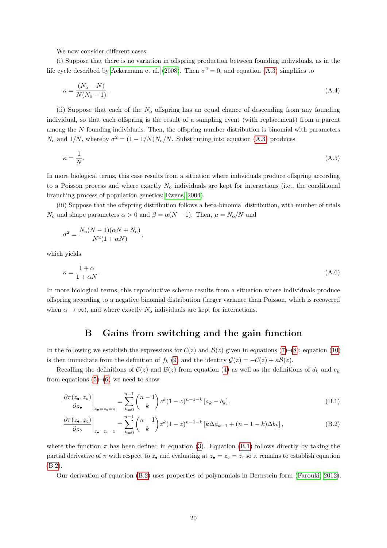We now consider different cases:

(i) Suppose that there is no variation in offspring production between founding individuals, as in the life cycle described by [Ackermann et al.](#page-26-4) [\(2008\)](#page-26-4). Then  $\sigma^2 = 0$ , and equation [\(A.3\)](#page-18-1) simplifies to

<span id="page-19-1"></span>
$$
\kappa = \frac{(N_o - N)}{N(N_o - 1)}.\tag{A.4}
$$

(ii) Suppose that each of the  $N<sub>o</sub>$  offspring has an equal chance of descending from any founding individual, so that each offspring is the result of a sampling event (with replacement) from a parent among the N founding individuals. Then, the offspring number distribution is binomial with parameters  $N_0$  and  $1/N$ , whereby  $\sigma^2 = (1 - 1/N)N_0/N$ . Substituting into equation [\(A.3\)](#page-18-1) produces

$$
\kappa = \frac{1}{N}.\tag{A.5}
$$

In more biological terms, this case results from a situation where individuals produce offspring according to a Poisson process and where exactly  $N_0$  individuals are kept for interactions (i.e., the conditional branching process of population genetics; [Ewens, 2004\)](#page-27-21).

(iii) Suppose that the offspring distribution follows a beta-binomial distribution, with number of trials  $N_0$  and shape parameters  $\alpha > 0$  and  $\beta = \alpha(N-1)$ . Then,  $\mu = N_0/N$  and

$$
\sigma^2 = \frac{N_o(N-1)(\alpha N + N_o)}{N^2(1 + \alpha N)},
$$

which yields

$$
\kappa = \frac{1+\alpha}{1+\alpha N}.\tag{A.6}
$$

In more biological terms, this reproductive scheme results from a situation where individuals produce offspring according to a negative binomial distribution (larger variance than Poisson, which is recovered when  $\alpha \to \infty$ ), and where exactly  $N_0$  individuals are kept for interactions.

## <span id="page-19-3"></span><span id="page-19-2"></span>B Gains from switching and the gain function

<span id="page-19-0"></span>In the following we establish the expressions for  $\mathcal{C}(z)$  and  $\mathcal{B}(z)$  given in equations [\(7\)](#page-6-3)–[\(8\)](#page-6-4); equation [\(10\)](#page-7-0) is then immediate from the definition of  $f_k(9)$  $f_k(9)$  and the identity  $\mathcal{G}(z) = -\mathcal{C}(z) + \kappa \mathcal{B}(z)$ .

Recalling the definitions of  $\mathcal{C}(z)$  and  $\mathcal{B}(z)$  from equation [\(4\)](#page-5-0) as well as the definitions of  $d_k$  and  $e_k$ from equations  $(5)-(6)$  $(5)-(6)$  $(5)-(6)$  we need to show

$$
\left. \frac{\partial \pi(z_{\bullet}, z_{\circ})}{\partial z_{\bullet}} \right|_{z_{\bullet} = z_{\circ} = z} = \sum_{k=0}^{n-1} {n-1 \choose k} z^k (1-z)^{n-1-k} [a_k - b_k], \tag{B.1}
$$

$$
\frac{\partial \pi(z_{\bullet}, z_{\circ})}{\partial z_{\circ}}\bigg|_{z_{\bullet}=z_{\circ}=z} = \sum_{k=0}^{n-1} {n-1 \choose k} z^{k} (1-z)^{n-1-k} \left[k\Delta a_{k-1} + (n-1-k)\Delta b_{k}\right],
$$
\n(B.2)

where the function  $\pi$  has been defined in equation [\(3\)](#page-4-2). Equation [\(B.1\)](#page-19-2) follows directly by taking the partial derivative of  $\pi$  with respect to  $z_{\bullet}$  and evaluating at  $z_{\bullet} = z_{\circ} = z$ , so it remains to establish equation [\(B.2\)](#page-19-3).

Our derivation of equation [\(B.2\)](#page-19-3) uses properties of polynomials in Bernstein form [\(Farouki, 2012\)](#page-27-13).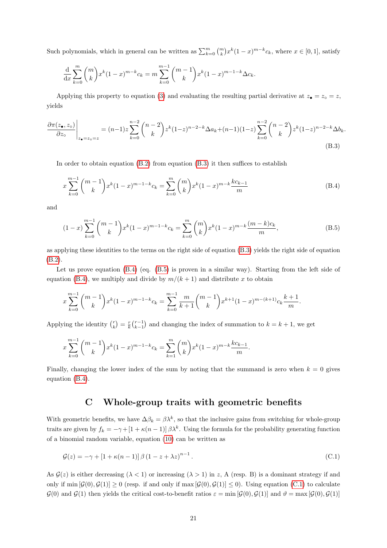Such polynomials, which in general can be written as  $\sum_{k=0}^{m} \binom{m}{k} x^k (1-x)^{m-k} c_k$ , where  $x \in [0,1]$ , satisfy

$$
\frac{d}{dx} \sum_{k=0}^{m} {m \choose k} x^{k} (1-x)^{m-k} c_k = m \sum_{k=0}^{m-1} {m-1 \choose k} x^{k} (1-x)^{m-1-k} \Delta c_k.
$$

<span id="page-20-1"></span>Applying this property to equation [\(3\)](#page-4-2) and evaluating the resulting partial derivative at  $z_{\bullet} = z_{\circ} = z$ , yields

$$
\frac{\partial \pi(z_{\bullet}, z_{\circ})}{\partial z_{\circ}}\Big|_{z_{\bullet}=z_{\circ}=z} = (n-1)z \sum_{k=0}^{n-2} {n-2 \choose k} z^{k} (1-z)^{n-2-k} \Delta a_k + (n-1)(1-z) \sum_{k=0}^{n-2} {n-2 \choose k} z^{k} (1-z)^{n-2-k} \Delta b_k.
$$
\n(B.3)

In order to obtain equation [\(B.2\)](#page-19-3) from equation [\(B.3\)](#page-20-1) it then suffices to establish

<span id="page-20-2"></span>
$$
x\sum_{k=0}^{m-1} \binom{m-1}{k} x^k (1-x)^{m-1-k} c_k = \sum_{k=0}^m \binom{m}{k} x^k (1-x)^{m-k} \frac{k c_{k-1}}{m}
$$
(B.4)

<span id="page-20-3"></span>and

$$
(1-x)\sum_{k=0}^{m-1} \binom{m-1}{k} x^k (1-x)^{m-1-k} c_k = \sum_{k=0}^m \binom{m}{k} x^k (1-x)^{m-k} \frac{(m-k)c_k}{m},\tag{B.5}
$$

as applying these identities to the terms on the right side of equation [\(B.3\)](#page-20-1) yields the right side of equation [\(B.2\)](#page-19-3).

Let us prove equation [\(B.4\)](#page-20-2) (eq. [\(B.5\)](#page-20-3) is proven in a similar way). Starting from the left side of equation [\(B.4\)](#page-20-2), we multiply and divide by  $m/(k+1)$  and distribute x to obtain

$$
x\sum_{k=0}^{m-1} {m-1 \choose k} x^k (1-x)^{m-1-k} c_k = \sum_{k=0}^{m-1} {m \choose k} x^{k+1} (1-x)^{m-(k+1)} c_k {k+1 \over m}.
$$

Applying the identity  $\binom{r}{k} = \frac{r}{k} \binom{r-1}{k-1}$  and changing the index of summation to  $k = k + 1$ , we get

$$
x\sum_{k=0}^{m-1} {m-1 \choose k} x^k (1-x)^{m-1-k} c_k = \sum_{k=1}^m {m \choose k} x^k (1-x)^{m-k} \frac{k c_{k-1}}{m}.
$$

Finally, changing the lower index of the sum by noting that the summand is zero when  $k = 0$  gives equation [\(B.4\)](#page-20-2).

## <span id="page-20-4"></span>C Whole-group traits with geometric benefits

<span id="page-20-0"></span>With geometric benefits, we have  $\Delta \beta_k = \beta \lambda^k$ , so that the inclusive gains from switching for whole-group traits are given by  $f_k = -\gamma + [1 + \kappa(n-1)] \beta \lambda^k$ . Using the formula for the probability generating function of a binomial random variable, equation [\(10\)](#page-7-0) can be written as

$$
\mathcal{G}(z) = -\gamma + \left[1 + \kappa(n-1)\right] \beta \left(1 - z + \lambda z\right)^{n-1}.\tag{C.1}
$$

As  $\mathcal{G}(z)$  is either decreasing  $(\lambda < 1)$  or increasing  $(\lambda > 1)$  in z, A (resp. B) is a dominant strategy if and only if min  $[\mathcal{G}(0), \mathcal{G}(1)] \geq 0$  (resp. if and only if max  $[\mathcal{G}(0), \mathcal{G}(1)] \leq 0$ ). Using equation [\(C.1\)](#page-20-4) to calculate  $\mathcal{G}(0)$  and  $\mathcal{G}(1)$  then yields the critical cost-to-benefit ratios  $\varepsilon = \min [\mathcal{G}(0), \mathcal{G}(1)]$  and  $\vartheta = \max [\mathcal{G}(0), \mathcal{G}(1)]$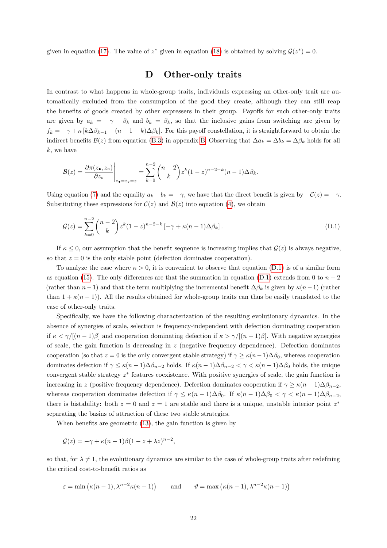<span id="page-21-0"></span>given in equation [\(17\)](#page-11-0). The value of  $z^*$  given in equation [\(18\)](#page-11-1) is obtained by solving  $\mathcal{G}(z^*)=0$ .

## <span id="page-21-1"></span>D Other-only traits

In contrast to what happens in whole-group traits, individuals expressing an other-only trait are automatically excluded from the consumption of the good they create, although they can still reap the benefits of goods created by other expressers in their group. Payoffs for such other-only traits are given by  $a_k = -\gamma + \beta_k$  and  $b_k = \beta_k$ , so that the inclusive gains from switching are given by  $f_k = -\gamma + \kappa [k\Delta\beta_{k-1} + (n-1-k)\Delta\beta_k]$ . For this payoff constellation, it is straightforward to obtain the indirect benefits  $\mathcal{B}(z)$  from equation [\(B.3\)](#page-20-1) in appendix [B.](#page-19-0) Observing that  $\Delta a_k = \Delta b_k = \Delta \beta_k$  holds for all k, we have

$$
\mathcal{B}(z) = \frac{\partial \pi(z_{\bullet}, z_{\circ})}{\partial z_{\circ}}\Big|_{z_{\bullet}=z_{\circ}=z} = \sum_{k=0}^{n-2} {n-2 \choose k} z^{k} (1-z)^{n-2-k} (n-1) \Delta \beta_k.
$$

Using equation [\(7\)](#page-6-3) and the equality  $a_k - b_k = -\gamma$ , we have that the direct benefit is given by  $-\mathcal{C}(z) = -\gamma$ . Substituting these expressions for  $\mathcal{C}(z)$  and  $\mathcal{B}(z)$  into equation [\(4\)](#page-5-0), we obtain

$$
\mathcal{G}(z) = \sum_{k=0}^{n-2} {n-2 \choose k} z^k (1-z)^{n-2-k} \left[ -\gamma + \kappa (n-1) \Delta \beta_k \right].
$$
 (D.1)

If  $\kappa \leq 0$ , our assumption that the benefit sequence is increasing implies that  $\mathcal{G}(z)$  is always negative, so that  $z = 0$  is the only stable point (defection dominates cooperation).

To analyze the case where  $\kappa > 0$ , it is convenient to observe that equation [\(D.1\)](#page-21-1) is of a similar form as equation [\(15\)](#page-10-0). The only differences are that the summation in equation [\(D.1\)](#page-21-1) extends from 0 to  $n-2$ (rather than  $n-1$ ) and that the term multiplying the incremental benefit  $\Delta \beta_k$  is given by  $\kappa(n-1)$  (rather than  $1 + \kappa(n-1)$ . All the results obtained for whole-group traits can thus be easily translated to the case of other-only traits.

Specifically, we have the following characterization of the resulting evolutionary dynamics. In the absence of synergies of scale, selection is frequency-independent with defection dominating cooperation if  $\kappa < \gamma/[(n-1)\beta]$  and cooperation dominating defection if  $\kappa > \gamma/[(n-1)\beta]$ . With negative synergies of scale, the gain function is decreasing in  $z$  (negative frequency dependence). Defection dominates cooperation (so that  $z = 0$  is the only convergent stable strategy) if  $\gamma \geq \kappa (n-1)\Delta\beta_0$ , whereas cooperation dominates defection if  $\gamma \leq \kappa (n-1)\Delta \beta_{n-2}$  holds. If  $\kappa (n-1)\Delta \beta_{n-2} < \gamma < \kappa (n-1)\Delta \beta_0$  holds, the unique convergent stable strategy  $z^*$  features coexistence. With positive synergies of scale, the gain function is increasing in z (positive frequency dependence). Defection dominates cooperation if  $\gamma \ge \kappa (n-1)\Delta\beta_{n-2}$ , whereas cooperation dominates defection if  $\gamma \leq \kappa (n-1)\Delta \beta_0$ . If  $\kappa (n-1)\Delta \beta_0 < \gamma < \kappa (n-1)\Delta \beta_{n-2}$ , there is bistability: both  $z = 0$  and  $z = 1$  are stable and there is a unique, unstable interior point  $z^*$ separating the basins of attraction of these two stable strategies.

When benefits are geometric [\(13\)](#page-8-0), the gain function is given by

$$
\mathcal{G}(z) = -\gamma + \kappa (n-1)\beta (1-z+\lambda z)^{n-2},
$$

so that, for  $\lambda \neq 1$ , the evolutionary dynamics are similar to the case of whole-group traits after redefining the critical cost-to-benefit ratios as

$$
\varepsilon = \min\left(\kappa(n-1), \lambda^{n-2}\kappa(n-1)\right) \qquad \text{and} \qquad \vartheta = \max\left(\kappa(n-1), \lambda^{n-2}\kappa(n-1)\right)
$$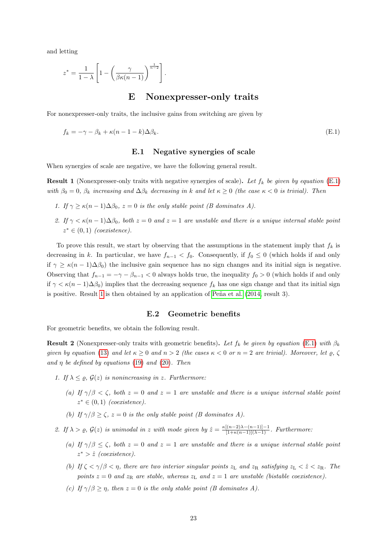and letting

$$
z^* = \frac{1}{1-\lambda} \left[ 1 - \left( \frac{\gamma}{\beta \kappa (n-1)} \right)^{\frac{1}{n-2}} \right].
$$

## <span id="page-22-2"></span>E Nonexpresser-only traits

<span id="page-22-5"></span>For nonexpresser-only traits, the inclusive gains from switching are given by

$$
f_k = -\gamma - \beta_k + \kappa (n - 1 - k) \Delta \beta_k.
$$
 (E.1)

#### E.1 Negative synergies of scale

<span id="page-22-3"></span><span id="page-22-0"></span>When synergies of scale are negative, we have the following general result.

**Result 1** (Nonexpresser-only traits with negative synergies of scale). Let  $f_k$  be given by equation [\(E.1\)](#page-22-2) with  $\beta_0 = 0$ ,  $\beta_k$  increasing and  $\Delta \beta_k$  decreasing in k and let  $\kappa \geq 0$  (the case  $\kappa < 0$  is trivial). Then

- 1. If  $\gamma \ge \kappa (n-1) \Delta \beta_0$ ,  $z = 0$  is the only stable point (B dominates A).
- 2. If  $\gamma < \kappa (n-1) \Delta \beta_0$ , both  $z = 0$  and  $z = 1$  are unstable and there is a unique internal stable point  $z^* \in (0,1)$  (coexistence).

To prove this result, we start by observing that the assumptions in the statement imply that  $f_k$  is decreasing in k. In particular, we have  $f_{n-1} < f_0$ . Consequently, if  $f_0 \leq 0$  (which holds if and only if  $\gamma \ge \kappa (n-1)\Delta\beta_0$ ) the inclusive gain sequence has no sign changes and its initial sign is negative. Observing that  $f_{n-1} = -\gamma - \beta_{n-1} < 0$  always holds true, the inequality  $f_0 > 0$  (which holds if and only if  $\gamma < \kappa (n-1)\Delta\beta_0$  implies that the decreasing sequence  $f_k$  has one sign change and that its initial sign is positive. Result [1](#page-22-3) is then obtained by an application of Peña et al.  $(2014, \text{result } 3)$  $(2014, \text{result } 3)$ .

#### E.2 Geometric benefits

<span id="page-22-4"></span><span id="page-22-1"></span>For geometric benefits, we obtain the following result.

**Result 2** (Nonexpresser-only traits with geometric benefits). Let  $f_k$  be given by equation [\(E.1\)](#page-22-2) with  $\beta_k$ given by equation [\(13\)](#page-8-0) and let  $\kappa \geq 0$  and  $n > 2$  (the cases  $\kappa < 0$  or  $n = 2$  are trivial). Moreover, let  $\varrho, \zeta$ and  $\eta$  be defined by equations [\(19\)](#page-12-0) and [\(20\)](#page-12-1). Then

- 1. If  $\lambda \leq \varrho$ ,  $\mathcal{G}(z)$  is nonincreasing in z. Furthermore:
	- (a) If  $\gamma/\beta < \zeta$ , both  $z = 0$  and  $z = 1$  are unstable and there is a unique internal stable point  $z^* \in (0,1)$  (coexistence).
	- (b) If  $\gamma/\beta \ge \zeta$ ,  $z = 0$  is the only stable point (B dominates A).
- 2. If  $\lambda > \varrho$ ,  $\mathcal{G}(z)$  is unimodal in z with mode given by  $\hat{z} = \frac{\kappa[(n-2)\lambda (n-1)]-1}{[1+\kappa(n-1)](\lambda-1)}$ . Furthermore:
	- (a) If  $\gamma/\beta \leq \zeta$ , both  $z = 0$  and  $z = 1$  are unstable and there is a unique internal stable point  $z^*$  >  $\hat{z}$  (coexistence).
	- (b) If  $\zeta \le \gamma/\beta \le \eta$ , there are two interior singular points  $z_L$  and  $z_R$  satisfying  $z_L \le \hat{z} \le z_R$ . The points  $z = 0$  and  $z<sub>R</sub>$  are stable, whereas  $z<sub>L</sub>$  and  $z = 1$  are unstable (bistable coexistence).
	- (c) If  $\gamma/\beta > \eta$ , then  $z = 0$  is the only stable point (B dominates A).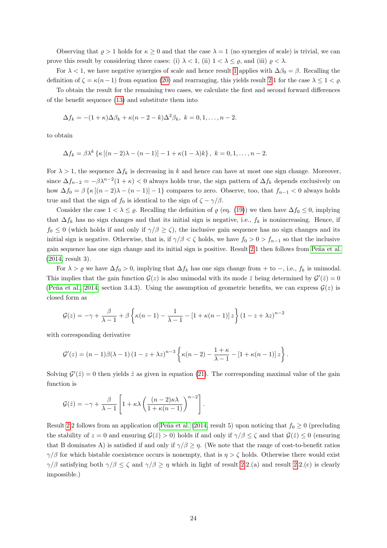Observing that  $\rho > 1$  holds for  $\kappa \geq 0$  and that the case  $\lambda = 1$  (no synergies of scale) is trivial, we can prove this result by considering three cases: (i)  $\lambda < 1$ , (ii)  $1 < \lambda \leq \rho$ , and (iii)  $\rho < \lambda$ .

For  $\lambda < 1$  $\lambda < 1$ , we have negative synergies of scale and hence result 1 applies with  $\Delta\beta_0 = \beta$ . Recalling the definition of  $\zeta = \kappa(n-1)$  from equation [\(20\)](#page-12-1) and rearranging, this yields result [2.](#page-22-4)1 for the case  $\lambda \leq 1 < \varrho$ .

To obtain the result for the remaining two cases, we calculate the first and second forward differences of the benefit sequence [\(13\)](#page-8-0) and substitute them into

$$
\Delta f_k = -(1+\kappa)\Delta\beta_k + \kappa(n-2-k)\Delta^2\beta_k, \ k=0,1,\ldots,n-2.
$$

to obtain

$$
\Delta f_k = \beta \lambda^k \left\{ \kappa \left[ (n-2)\lambda - (n-1) \right] - 1 + \kappa (1-\lambda) k \right\}, \ k = 0, 1, \ldots, n-2.
$$

For  $\lambda > 1$ , the sequence  $\Delta f_k$  is decreasing in k and hence can have at most one sign change. Moreover, since  $\Delta f_{n-2} = -\beta \lambda^{n-2} (1 + \kappa) < 0$  always holds true, the sign pattern of  $\Delta f_k$  depends exclusively on how  $\Delta f_0 = \beta \left\{ \kappa \left[ (n-2)\lambda - (n-1) \right] - 1 \right\}$  compares to zero. Observe, too, that  $f_{n-1} < 0$  always holds true and that the sign of  $f_0$  is identical to the sign of  $\zeta - \gamma/\beta$ .

Consider the case  $1 < \lambda \leq \varrho$ . Recalling the definition of  $\varrho$  (eq. [\(19\)](#page-12-0)) we then have  $\Delta f_0 \leq 0$ , implying that  $\Delta f_k$  has no sign changes and that its initial sign is negative, i.e.,  $f_k$  is nonincreasing. Hence, if  $f_0 \leq 0$  (which holds if and only if  $\gamma/\beta \geq \zeta$ ), the inclusive gain sequence has no sign changes and its initial sign is negative. Otherwise, that is, if  $\gamma/\beta < \zeta$  holds, we have  $f_0 > 0 > f_{n-1}$  so that the inclusive gain sequence has one sign change and its initial sign is positive. Result [2.](#page-22-4)1 then follows from Peña et al. [\(2014,](#page-29-13) result 3).

For  $\lambda > \varrho$  we have  $\Delta f_0 > 0$ , implying that  $\Delta f_k$  has one sign change from + to -, i.e.,  $f_k$  is unimodal. This implies that the gain function  $\mathcal{G}(z)$  is also unimodal with its mode  $\hat{z}$  being determined by  $\mathcal{G}'(\hat{z}) = 0$ (Peña et al., 2014, section 3.4.3). Using the assumption of geometric benefits, we can express  $\mathcal{G}(z)$  is closed form as

$$
\mathcal{G}(z) = -\gamma + \frac{\beta}{\lambda - 1} + \beta \left\{ \kappa (n - 1) - \frac{1}{\lambda - 1} - \left[ 1 + \kappa (n - 1) \right] z \right\} \left( 1 - z + \lambda z \right)^{n - 2}
$$

with corresponding derivative

$$
\mathcal{G}'(z) = (n-1)\beta(\lambda-1)\left(1-z+\lambda z\right)^{n-3}\left\{\kappa(n-2)-\frac{1+\kappa}{\lambda-1}-\left[1+\kappa(n-1)\right]z\right\}.
$$

Solving  $\mathcal{G}'(\hat{z}) = 0$  then yields  $\hat{z}$  as given in equation [\(21\)](#page-12-2). The corresponding maximal value of the gain function is

$$
\mathcal{G}(\hat{z}) = -\gamma + \frac{\beta}{\lambda - 1} \left[ 1 + \kappa \lambda \left( \frac{(n-2)\kappa \lambda}{1 + \kappa (n-1)} \right)^{n-2} \right].
$$

Result [2.](#page-22-4)2 follows from an application of Peña et al. [\(2014,](#page-29-13) result 5) upon noticing that  $f_0 \ge 0$  (precluding the stability of  $z = 0$  and ensuring  $\mathcal{G}(\hat{z}) > 0$ ) holds if and only if  $\gamma/\beta \leq \zeta$  and that  $\mathcal{G}(\hat{z}) \leq 0$  (ensuring that B dominates A) is satisfied if and only if  $\gamma/\beta \geq \eta$ . (We note that the range of cost-to-benefit ratios  $\gamma/\beta$  for which bistable coexistence occurs is nonempty, that is  $\eta > \zeta$  holds. Otherwise there would exist  $\gamma/\beta$  satisfying both  $\gamma/\beta \leq \zeta$  and  $\gamma/\beta \geq \eta$  which in light of result [2.](#page-22-4)2.(a) and result 2.2.(c) is clearly impossible.)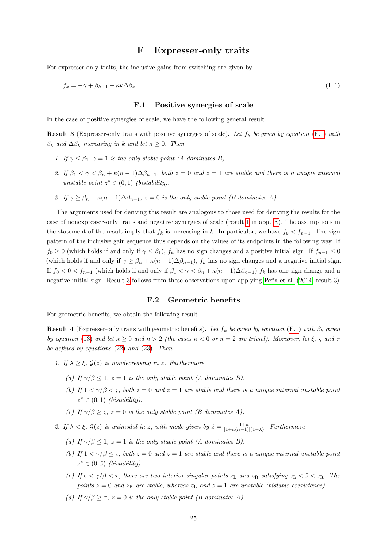## <span id="page-24-2"></span>F Expresser-only traits

For expresser-only traits, the inclusive gains from switching are given by

$$
f_k = -\gamma + \beta_{k+1} + \kappa k \Delta \beta_k. \tag{F.1}
$$

#### F.1 Positive synergies of scale

<span id="page-24-3"></span><span id="page-24-0"></span>In the case of positive synergies of scale, we have the following general result.

**Result 3** (Expresser-only traits with positive synergies of scale). Let  $f_k$  be given by equation [\(F.1\)](#page-24-2) with  $\beta_k$  and  $\Delta \beta_k$  increasing in k and let  $\kappa \geq 0$ . Then

- 1. If  $\gamma \leq \beta_1$ ,  $z = 1$  is the only stable point (A dominates B).
- 2. If  $\beta_1 < \gamma < \beta_n + \kappa(n-1)\Delta\beta_{n-1}$ , both  $z = 0$  and  $z = 1$  are stable and there is a unique internal unstable point  $z^* \in (0,1)$  (bistability).
- 3. If  $\gamma > \beta_n + \kappa(n-1)\Delta\beta_{n-1}, z = 0$  is the only stable point (B dominates A).

The arguments used for deriving this result are analogous to those used for deriving the results for the case of nonexpresser-only traits and negative synergies of scale (result [1](#page-22-3) in app. [E\)](#page-22-5). The assumptions in the statement of the result imply that  $f_k$  is increasing in k. In particular, we have  $f_0 < f_{n-1}$ . The sign pattern of the inclusive gain sequence thus depends on the values of its endpoints in the following way. If  $f_0 \geq 0$  (which holds if and only if  $\gamma \leq \beta_1$ ),  $f_k$  has no sign changes and a positive initial sign. If  $f_{n-1} \leq 0$ (which holds if and only if  $\gamma \geq \beta_n + \kappa(n-1)\Delta\beta_{n-1}$ ),  $f_k$  has no sign changes and a negative initial sign. If  $f_0 < 0 < f_{n-1}$  (which holds if and only if  $\beta_1 < \gamma < \beta_n + \kappa(n-1)\Delta\beta_{n-1}$ )  $f_k$  has one sign change and a negative initial sign. Result [3](#page-24-3) follows from these observations upon applying Peña et al. [\(2014,](#page-29-13) result 3).

#### F.2 Geometric benefits

<span id="page-24-4"></span><span id="page-24-1"></span>For geometric benefits, we obtain the following result.

**Result 4** (Expresser-only traits with geometric benefits). Let  $f_k$  be given by equation [\(F.1\)](#page-24-2) with  $\beta_k$  given by equation [\(13\)](#page-8-0) and let  $\kappa \geq 0$  and  $n > 2$  (the cases  $\kappa < 0$  or  $n = 2$  are trivial). Moreover, let  $\xi$ ,  $\varsigma$  and  $\tau$ be defined by equations [\(22\)](#page-13-1) and [\(23\)](#page-13-2). Then

- 1. If  $\lambda \geq \xi$ ,  $\mathcal{G}(z)$  is nondecreasing in z. Furthermore
	- (a) If  $\gamma/\beta \leq 1$ ,  $z = 1$  is the only stable point (A dominates B).
	- (b) If  $1 \lt \gamma/\beta \lt \varsigma$ , both  $z = 0$  and  $z = 1$  are stable and there is a unique internal unstable point  $z^* \in (0,1)$  (bistability).
	- (c) If  $\gamma/\beta \geq \varsigma$ ,  $z = 0$  is the only stable point (B dominates A).
- 2. If  $\lambda < \xi$ ,  $\mathcal{G}(z)$  is unimodal in z, with mode given by  $\hat{z} = \frac{1+\kappa}{[1+\kappa(n-1)](1-\lambda)}$ . Furthermore
	- (a) If  $\gamma/\beta \leq 1$ ,  $z = 1$  is the only stable point (A dominates B).
	- (b) If  $1 < \gamma/\beta \leq \varsigma$ , both  $z = 0$  and  $z = 1$  are stable and there is a unique internal unstable point  $z^* \in (0, \hat{z})$  (bistability).
	- (c) If  $\zeta < \gamma/\beta < \tau$ , there are two interior singular points  $z_L$  and  $z_R$  satisfying  $z_L < \hat{z} < z_R$ . The points  $z = 0$  and  $z_R$  are stable, whereas  $z_L$  and  $z = 1$  are unstable (bistable coexistence).
	- (d) If  $\gamma/\beta \geq \tau$ ,  $z = 0$  is the only stable point (B dominates A).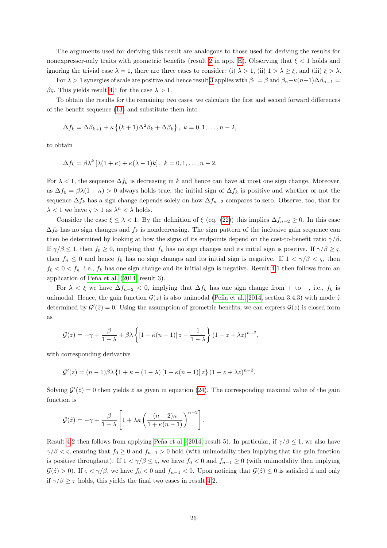The arguments used for deriving this result are analogous to those used for deriving the results for nonexpresser-only traits with geometric benefits (result [2](#page-22-4) in app. [E\)](#page-22-5). Observing that  $\xi < 1$  holds and ignoring the trivial case  $\lambda = 1$ , there are three cases to consider: (i)  $\lambda > 1$ , (ii)  $1 > \lambda \ge \xi$ , and (iii)  $\xi > \lambda$ .

For  $\lambda > 1$  synergies of scale are positive and hence result [3](#page-24-3) applies with  $\beta_1 = \beta$  and  $\beta_n + \kappa(n-1)\Delta\beta_{n-1} =$ βς. This yields result [4.](#page-24-4)1 for the case  $\lambda > 1$ .

To obtain the results for the remaining two cases, we calculate the first and second forward differences of the benefit sequence [\(13\)](#page-8-0) and substitute them into

$$
\Delta f_k = \Delta \beta_{k+1} + \kappa \left\{ (k+1) \Delta^2 \beta_k + \Delta \beta_k \right\}, \ k = 0, 1, \dots, n-2,
$$

to obtain

$$
\Delta f_k = \beta \lambda^k \left[ \lambda (1 + \kappa) + \kappa (\lambda - 1) k \right], \ k = 0, 1, \dots, n - 2.
$$

For  $\lambda < 1$ , the sequence  $\Delta f_k$  is decreasing in k and hence can have at most one sign change. Moreover, as  $\Delta f_0 = \beta \lambda (1 + \kappa) > 0$  always holds true, the initial sign of  $\Delta f_k$  is positive and whether or not the sequence  $\Delta f_k$  has a sign change depends solely on how  $\Delta f_{n-2}$  compares to zero. Observe, too, that for  $\lambda < 1$  we have  $\varsigma > 1$  as  $\lambda^n < \lambda$  holds.

Consider the case  $\xi \leq \lambda < 1$ . By the definition of  $\xi$  (eq. [\(22\)](#page-13-1)) this implies  $\Delta f_{n-2} \geq 0$ . In this case  $\Delta f_k$  has no sign changes and  $f_k$  is nondecreasing. The sign pattern of the inclusive gain sequence can then be determined by looking at how the signs of its endpoints depend on the cost-to-benefit ratio  $\gamma/\beta$ . If  $\gamma/\beta \leq 1$ , then  $f_0 \geq 0$ , implying that  $f_k$  has no sign changes and its initial sign is positive. If  $\gamma/\beta \geq \varsigma$ , then  $f_n \leq 0$  and hence  $f_k$  has no sign changes and its initial sign is negative. If  $1 < \gamma/\beta < \varsigma$ , then  $f_0 < 0 < f_n$ , i.e.,  $f_k$  has one sign change and its initial sign is negative. Result [4.](#page-24-4)1 then follows from an application of Peña et al. [\(2014,](#page-29-13) result 3).

For  $\lambda < \xi$  we have  $\Delta f_{n-2} < 0$ , implying that  $\Delta f_k$  has one sign change from + to -, i.e.,  $f_k$  is unimodal. Hence, the gain function  $\mathcal{G}(z)$  is also unimodal (Peña et al., 2014, section 3.4.3) with mode  $\hat{z}$ determined by  $\mathcal{G}'(\hat{z})=0$ . Using the assumption of geometric benefits, we can express  $\mathcal{G}(z)$  is closed form as

$$
\mathcal{G}(z) = -\gamma + \frac{\beta}{1-\lambda} + \beta \lambda \left\{ \left[1 + \kappa(n-1)\right]z - \frac{1}{1-\lambda} \right\} (1-z+\lambda z)^{n-2},
$$

with corresponding derivative

$$
\mathcal{G}'(z) = (n-1)\beta\lambda \left\{1 + \kappa - (1-\lambda)\left[1 + \kappa(n-1)\right]z\right\}(1 - z + \lambda z)^{n-3}.
$$

Solving  $\mathcal{G}'(\hat{z}) = 0$  then yields  $\hat{z}$  as given in equation [\(24\)](#page-13-3). The corresponding maximal value of the gain function is

.

$$
\mathcal{G}(\hat{z}) = -\gamma + \frac{\beta}{1-\lambda} \left[ 1 + \lambda \kappa \left( \frac{(n-2)\kappa}{1+\kappa(n-1)} \right)^{n-2} \right]
$$

Result [4.](#page-24-4)2 then follows from applying Peña et al. [\(2014,](#page-29-13) result 5). In particular, if  $\gamma/\beta$  < 1, we also have  $\gamma/\beta < \varsigma$ , ensuring that  $f_0 \geq 0$  and  $f_{n-1} > 0$  hold (with unimodality then implying that the gain function is positive throughout). If  $1 < \gamma/\beta \leq \varsigma$ , we have  $f_0 < 0$  and  $f_{n-1} \geq 0$  (with unimodality then implying  $\mathcal{G}(\hat{z}) > 0$ . If  $\varsigma < \gamma/\beta$ , we have  $f_0 < 0$  and  $f_{n-1} < 0$ . Upon noticing that  $\mathcal{G}(\hat{z}) \leq 0$  is satisfied if and only if  $\gamma/\beta \geq \tau$  holds, this yields the final two cases in result [4.](#page-24-4)2.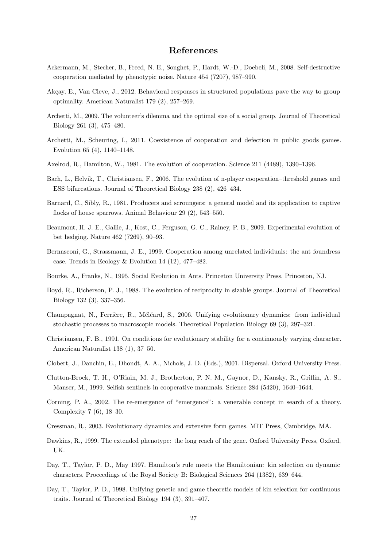## References

- <span id="page-26-4"></span>Ackermann, M., Stecher, B., Freed, N. E., Songhet, P., Hardt, W.-D., Doebeli, M., 2008. Self-destructive cooperation mediated by phenotypic noise. Nature 454 (7207), 987–990.
- <span id="page-26-8"></span>Akçay, E., Van Cleve, J., 2012. Behavioral responses in structured populations pave the way to group optimality. American Naturalist 179 (2), 257–269.
- <span id="page-26-7"></span>Archetti, M., 2009. The volunteer's dilemma and the optimal size of a social group. Journal of Theoretical Biology 261 (3), 475–480.
- <span id="page-26-17"></span>Archetti, M., Scheuring, I., 2011. Coexistence of cooperation and defection in public goods games. Evolution 65 (4), 1140–1148.
- <span id="page-26-0"></span>Axelrod, R., Hamilton, W., 1981. The evolution of cooperation. Science 211 (4489), 1390–1396.
- <span id="page-26-16"></span>Bach, L., Helvik, T., Christiansen, F., 2006. The evolution of n-player cooperation–threshold games and ESS bifurcations. Journal of Theoretical Biology 238 (2), 426–434.
- <span id="page-26-18"></span>Barnard, C., Sibly, R., 1981. Producers and scroungers: a general model and its application to captive flocks of house sparrows. Animal Behaviour 29 (2), 543–550.
- <span id="page-26-19"></span>Beaumont, H. J. E., Gallie, J., Kost, C., Ferguson, G. C., Rainey, P. B., 2009. Experimental evolution of bet hedging. Nature 462 (7269), 90–93.
- <span id="page-26-13"></span>Bernasconi, G., Strassmann, J. E., 1999. Cooperation among unrelated individuals: the ant foundress case. Trends in Ecology & Evolution 14 (12), 477–482.
- <span id="page-26-3"></span>Bourke, A., Franks, N., 1995. Social Evolution in Ants. Princeton University Press, Princeton, NJ.
- <span id="page-26-6"></span>Boyd, R., Richerson, P. J., 1988. The evolution of reciprocity in sizable groups. Journal of Theoretical Biology 132 (3), 337–356.
- <span id="page-26-10"></span>Champagnat, N., Ferrière, R., Méléard, S., 2006. Unifying evolutionary dynamics: from individual stochastic processes to macroscopic models. Theoretical Population Biology 69 (3), 297–321.
- <span id="page-26-9"></span>Christiansen, F. B., 1991. On conditions for evolutionary stability for a continuously varying character. American Naturalist 138 (1), 37–50.
- <span id="page-26-2"></span>Clobert, J., Danchin, E., Dhondt, A. A., Nichols, J. D. (Eds.), 2001. Dispersal. Oxford University Press.
- <span id="page-26-12"></span>Clutton-Brock, T. H., O'Riain, M. J., Brotherton, P. N. M., Gaynor, D., Kansky, R., Griffin, A. S., Manser, M., 1999. Selfish sentinels in cooperative mammals. Science 284 (5420), 1640–1644.
- <span id="page-26-5"></span>Corning, P. A., 2002. The re-emergence of "emergence": a venerable concept in search of a theory. Complexity 7 (6), 18–30.
- <span id="page-26-15"></span>Cressman, R., 2003. Evolutionary dynamics and extensive form games. MIT Press, Cambridge, MA.
- <span id="page-26-14"></span>Dawkins, R., 1999. The extended phenotype: the long reach of the gene. Oxford University Press, Oxford, UK.
- <span id="page-26-1"></span>Day, T., Taylor, P. D., May 1997. Hamilton's rule meets the Hamiltonian: kin selection on dynamic characters. Proceedings of the Royal Society B: Biological Sciences 264 (1382), 639–644.
- <span id="page-26-11"></span>Day, T., Taylor, P. D., 1998. Unifying genetic and game theoretic models of kin selection for continuous traits. Journal of Theoretical Biology 194 (3), 391–407.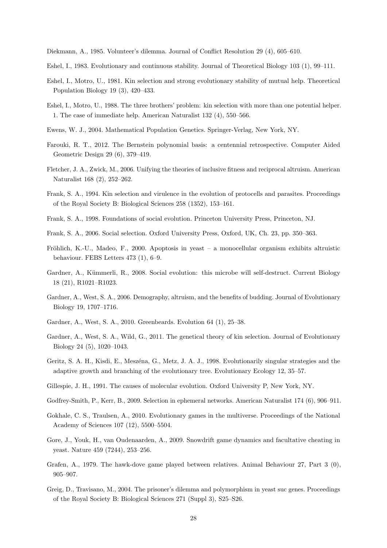<span id="page-27-18"></span>Diekmann, A., 1985. Volunteer's dilemma. Journal of Conflict Resolution 29 (4), 605–610.

- <span id="page-27-10"></span>Eshel, I., 1983. Evolutionary and continuous stability. Journal of Theoretical Biology 103 (1), 99–111.
- <span id="page-27-9"></span>Eshel, I., Motro, U., 1981. Kin selection and strong evolutionary stability of mutual help. Theoretical Population Biology 19 (3), 420–433.
- <span id="page-27-6"></span>Eshel, I., Motro, U., 1988. The three brothers' problem: kin selection with more than one potential helper. 1. The case of immediate help. American Naturalist 132 (4), 550–566.
- <span id="page-27-21"></span>Ewens, W. J., 2004. Mathematical Population Genetics. Springer-Verlag, New York, NY.
- <span id="page-27-13"></span>Farouki, R. T., 2012. The Bernstein polynomial basis: a centennial retrospective. Computer Aided Geometric Design 29 (6), 379–419.
- <span id="page-27-5"></span>Fletcher, J. A., Zwick, M., 2006. Unifying the theories of inclusive fitness and reciprocal altruism. American Naturalist 168 (2), 252–262.
- <span id="page-27-20"></span>Frank, S. A., 1994. Kin selection and virulence in the evolution of protocells and parasites. Proceedings of the Royal Society B: Biological Sciences 258 (1352), 153–161.
- <span id="page-27-17"></span>Frank, S. A., 1998. Foundations of social evolution. Princeton University Press, Princeton, NJ.
- <span id="page-27-15"></span>Frank, S. A., 2006. Social selection. Oxford University Press, Oxford, UK, Ch. 23, pp. 350–363.
- <span id="page-27-1"></span>Fröhlich, K.-U., Madeo, F., 2000. Apoptosis in yeast – a monocellular organism exhibits altruistic behaviour. FEBS Letters 473 (1), 6–9.
- <span id="page-27-19"></span>Gardner, A., Kümmerli, R., 2008. Social evolution: this microbe will self-destruct. Current Biology 18 (21), R1021–R1023.
- <span id="page-27-3"></span>Gardner, A., West, S. A., 2006. Demography, altruism, and the benefits of budding. Journal of Evolutionary Biology 19, 1707–1716.
- <span id="page-27-16"></span>Gardner, A., West, S. A., 2010. Greenbeards. Evolution 64 (1), 25–38.
- <span id="page-27-0"></span>Gardner, A., West, S. A., Wild, G., 2011. The genetical theory of kin selection. Journal of Evolutionary Biology 24 (5), 1020–1043.
- <span id="page-27-11"></span>Geritz, S. A. H., Kisdi, E., Meszéna, G., Metz, J. A. J., 1998. Evolutionarily singular strategies and the adaptive growth and branching of the evolutionary tree. Evolutionary Ecology 12, 35–57.
- <span id="page-27-12"></span>Gillespie, J. H., 1991. The causes of molecular evolution. Oxford University P, New York, NY.
- <span id="page-27-8"></span>Godfrey-Smith, P., Kerr, B., 2009. Selection in ephemeral networks. American Naturalist 174 (6), 906–911.
- <span id="page-27-7"></span>Gokhale, C. S., Traulsen, A., 2010. Evolutionary games in the multiverse. Proceedings of the National Academy of Sciences 107 (12), 5500–5504.
- <span id="page-27-2"></span>Gore, J., Youk, H., van Oudenaarden, A., 2009. Snowdrift game dynamics and facultative cheating in yeast. Nature 459 (7244), 253–256.
- <span id="page-27-4"></span>Grafen, A., 1979. The hawk-dove game played between relatives. Animal Behaviour 27, Part 3 (0), 905–907.
- <span id="page-27-14"></span>Greig, D., Travisano, M., 2004. The prisoner's dilemma and polymorphism in yeast suc genes. Proceedings of the Royal Society B: Biological Sciences 271 (Suppl 3), S25–S26.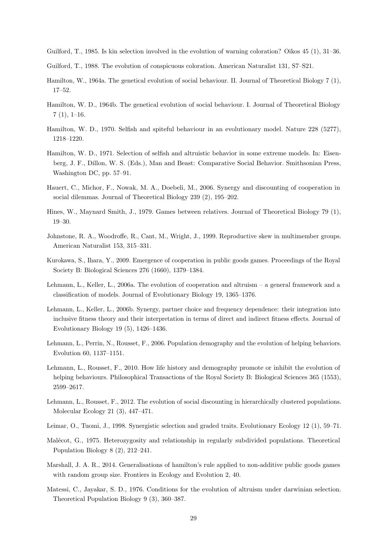<span id="page-28-16"></span>Guilford, T., 1985. Is kin selection involved in the evolution of warning coloration? Oikos 45 (1), 31–36.

- <span id="page-28-17"></span>Guilford, T., 1988. The evolution of conspicuous coloration. American Naturalist 131, S7–S21.
- <span id="page-28-0"></span>Hamilton, W., 1964a. The genetical evolution of social behaviour. II. Journal of Theoretical Biology 7 (1), 17–52.
- <span id="page-28-1"></span>Hamilton, W. D., 1964b. The genetical evolution of social behaviour. I. Journal of Theoretical Biology  $7(1), 1-16.$
- <span id="page-28-2"></span>Hamilton, W. D., 1970. Selfish and spiteful behaviour in an evolutionary model. Nature 228 (5277), 1218–1220.
- <span id="page-28-14"></span>Hamilton, W. D., 1971. Selection of selfish and altruistic behavior in some extreme models. In: Eisenberg, J. F., Dillon, W. S. (Eds.), Man and Beast: Comparative Social Behavior. Smithsonian Press, Washington DC, pp. 57–91.
- <span id="page-28-6"></span>Hauert, C., Michor, F., Nowak, M. A., Doebeli, M., 2006. Synergy and discounting of cooperation in social dilemmas. Journal of Theoretical Biology 239 (2), 195–202.
- <span id="page-28-15"></span>Hines, W., Maynard Smith, J., 1979. Games between relatives. Journal of Theoretical Biology 79 (1), 19–30.
- <span id="page-28-18"></span>Johnstone, R. A., Woodroffe, R., Cant, M., Wright, J., 1999. Reproductive skew in multimember groups. American Naturalist 153, 315–331.
- <span id="page-28-9"></span>Kurokawa, S., Ihara, Y., 2009. Emergence of cooperation in public goods games. Proceedings of the Royal Society B: Biological Sciences 276 (1660), 1379–1384.
- <span id="page-28-3"></span>Lehmann, L., Keller, L., 2006a. The evolution of cooperation and altruism – a general framework and a classification of models. Journal of Evolutionary Biology 19, 1365–1376.
- <span id="page-28-7"></span>Lehmann, L., Keller, L., 2006b. Synergy, partner choice and frequency dependence: their integration into inclusive fitness theory and their interpretation in terms of direct and indirect fitness effects. Journal of Evolutionary Biology 19 (5), 1426–1436.
- <span id="page-28-4"></span>Lehmann, L., Perrin, N., Rousset, F., 2006. Population demography and the evolution of helping behaviors. Evolution 60, 1137–1151.
- <span id="page-28-13"></span>Lehmann, L., Rousset, F., 2010. How life history and demography promote or inhibit the evolution of helping behaviours. Philosophical Transactions of the Royal Society B: Biological Sciences 365 (1553), 2599–2617.
- <span id="page-28-11"></span>Lehmann, L., Rousset, F., 2012. The evolution of social discounting in hierarchically clustered populations. Molecular Ecology 21 (3), 447–471.
- <span id="page-28-5"></span>Leimar, O., Tuomi, J., 1998. Synergistic selection and graded traits. Evolutionary Ecology 12 (1), 59–71.
- <span id="page-28-10"></span>Malécot, G., 1975. Heterozygosity and relationship in regularly subdivided populations. Theoretical Population Biology 8 (2), 212–241.
- <span id="page-28-8"></span>Marshall, J. A. R., 2014. Generalisations of hamilton's rule applied to non-additive public goods games with random group size. Frontiers in Ecology and Evolution 2, 40.
- <span id="page-28-12"></span>Matessi, C., Jayakar, S. D., 1976. Conditions for the evolution of altruism under darwinian selection. Theoretical Population Biology 9 (3), 360–387.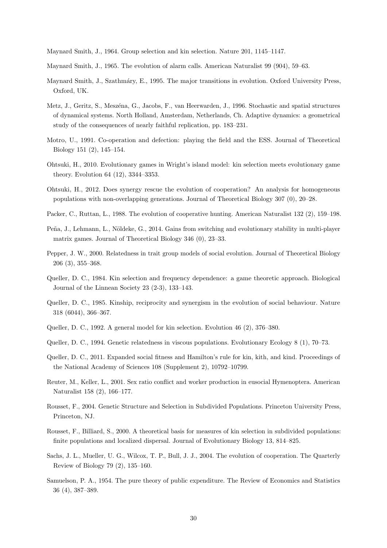<span id="page-29-19"></span>Maynard Smith, J., 1964. Group selection and kin selection. Nature 201, 1145–1147.

<span id="page-29-15"></span>Maynard Smith, J., 1965. The evolution of alarm calls. American Naturalist 99 (904), 59–63.

- <span id="page-29-16"></span>Maynard Smith, J., Szathmáry, E., 1995. The major transitions in evolution. Oxford University Press, Oxford, UK.
- <span id="page-29-12"></span>Metz, J., Geritz, S., Meszéna, G., Jacobs, F., van Heerwarden, J., 1996. Stochastic and spatial structures of dynamical systems. North Holland, Amsterdam, Netherlands, Ch. Adaptive dynamics: a geometrical study of the consequences of nearly faithful replication, pp. 183–231.
- <span id="page-29-4"></span>Motro, U., 1991. Co-operation and defection: playing the field and the ESS. Journal of Theoretical Biology 151 (2), 145–154.
- <span id="page-29-7"></span>Ohtsuki, H., 2010. Evolutionary games in Wright's island model: kin selection meets evolutionary game theory. Evolution 64 (12), 3344–3353.
- <span id="page-29-8"></span>Ohtsuki, H., 2012. Does synergy rescue the evolution of cooperation? An analysis for homogeneous populations with non-overlapping generations. Journal of Theoretical Biology 307 (0), 20–28.
- <span id="page-29-3"></span>Packer, C., Ruttan, L., 1988. The evolution of cooperative hunting. American Naturalist 132 (2), 159–198.
- <span id="page-29-13"></span>Peña, J., Lehmann, L., Nöldeke, G., 2014. Gains from switching and evolutionary stability in multi-player matrix games. Journal of Theoretical Biology 346 (0), 23–33.
- <span id="page-29-17"></span>Pepper, J. W., 2000. Relatedness in trait group models of social evolution. Journal of Theoretical Biology 206 (3), 355–368.
- <span id="page-29-5"></span>Queller, D. C., 1984. Kin selection and frequency dependence: a game theoretic approach. Biological Journal of the Linnean Society 23 (2-3), 133–143.
- <span id="page-29-1"></span>Queller, D. C., 1985. Kinship, reciprocity and synergism in the evolution of social behaviour. Nature 318 (6044), 366–367.
- <span id="page-29-6"></span>Queller, D. C., 1992. A general model for kin selection. Evolution 46 (2), 376–380.
- <span id="page-29-11"></span>Queller, D. C., 1994. Genetic relatedness in viscous populations. Evolutionary Ecology 8 (1), 70–73.
- <span id="page-29-2"></span>Queller, D. C., 2011. Expanded social fitness and Hamilton's rule for kin, kith, and kind. Proceedings of the National Academy of Sciences 108 (Supplement 2), 10792–10799.
- <span id="page-29-18"></span>Reuter, M., Keller, L., 2001. Sex ratio conflict and worker production in eusocial Hymenoptera. American Naturalist 158 (2), 166–177.
- <span id="page-29-9"></span>Rousset, F., 2004. Genetic Structure and Selection in Subdivided Populations. Princeton University Press, Princeton, NJ.
- <span id="page-29-10"></span>Rousset, F., Billiard, S., 2000. A theoretical basis for measures of kin selection in subdivided populations: finite populations and localized dispersal. Journal of Evolutionary Biology 13, 814–825.
- <span id="page-29-0"></span>Sachs, J. L., Mueller, U. G., Wilcox, T. P., Bull, J. J., 2004. The evolution of cooperation. The Quarterly Review of Biology 79 (2), 135–160.
- <span id="page-29-14"></span>Samuelson, P. A., 1954. The pure theory of public expenditure. The Review of Economics and Statistics 36 (4), 387–389.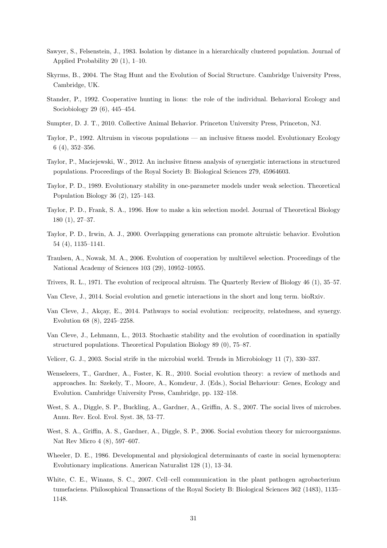- <span id="page-30-9"></span>Sawyer, S., Felsenstein, J., 1983. Isolation by distance in a hierarchically clustered population. Journal of Applied Probability 20 (1), 1–10.
- <span id="page-30-15"></span>Skyrms, B., 2004. The Stag Hunt and the Evolution of Social Structure. Cambridge University Press, Cambridge, UK.
- <span id="page-30-19"></span>Stander, P., 1992. Cooperative hunting in lions: the role of the individual. Behavioral Ecology and Sociobiology 29 (6), 445–454.
- <span id="page-30-2"></span>Sumpter, D. J. T., 2010. Collective Animal Behavior. Princeton University Press, Princeton, NJ.
- <span id="page-30-4"></span>Taylor, P., 1992. Altruism in viscous populations — an inclusive fitness model. Evolutionary Ecology 6 (4), 352–356.
- <span id="page-30-6"></span>Taylor, P., Maciejewski, W., 2012. An inclusive fitness analysis of synergistic interactions in structured populations. Proceedings of the Royal Society B: Biological Sciences 279, 45964603.
- <span id="page-30-12"></span>Taylor, P. D., 1989. Evolutionary stability in one-parameter models under weak selection. Theoretical Population Biology 36 (2), 125–143.
- <span id="page-30-8"></span>Taylor, P. D., Frank, S. A., 1996. How to make a kin selection model. Journal of Theoretical Biology 180 (1), 27–37.
- <span id="page-30-5"></span>Taylor, P. D., Irwin, A. J., 2000. Overlapping generations can promote altruistic behavior. Evolution 54 (4), 1135–1141.
- <span id="page-30-10"></span>Traulsen, A., Nowak, M. A., 2006. Evolution of cooperation by multilevel selection. Proceedings of the National Academy of Sciences 103 (29), 10952–10955.
- <span id="page-30-1"></span>Trivers, R. L., 1971. The evolution of reciprocal altruism. The Quarterly Review of Biology 46 (1), 35–57.
- <span id="page-30-11"></span>Van Cleve, J., 2014. Social evolution and genetic interactions in the short and long term. bioRxiv.
- <span id="page-30-3"></span>Van Cleve, J., Akçay, E., 2014. Pathways to social evolution: reciprocity, relatedness, and synergy. Evolution 68 (8), 2245–2258.
- <span id="page-30-7"></span>Van Cleve, J., Lehmann, L., 2013. Stochastic stability and the evolution of coordination in spatially structured populations. Theoretical Population Biology 89 (0), 75–87.
- <span id="page-30-13"></span>Velicer, G. J., 2003. Social strife in the microbial world. Trends in Microbiology 11 (7), 330–337.
- <span id="page-30-17"></span>Wenseleers, T., Gardner, A., Foster, K. R., 2010. Social evolution theory: a review of methods and approaches. In: Szekely, T., Moore, A., Komdeur, J. (Eds.), Social Behaviour: Genes, Ecology and Evolution. Cambridge University Press, Cambridge, pp. 132–158.
- <span id="page-30-0"></span>West, S. A., Diggle, S. P., Buckling, A., Gardner, A., Griffin, A. S., 2007. The social lives of microbes. Annu. Rev. Ecol. Evol. Syst. 38, 53–77.
- <span id="page-30-14"></span>West, S. A., Griffin, A. S., Gardner, A., Diggle, S. P., 2006. Social evolution theory for microorganisms. Nat Rev Micro 4 (8), 597–607.
- <span id="page-30-18"></span>Wheeler, D. E., 1986. Developmental and physiological determinants of caste in social hymenoptera: Evolutionary implications. American Naturalist 128 (1), 13–34.
- <span id="page-30-16"></span>White, C. E., Winans, S. C., 2007. Cell–cell communication in the plant pathogen agrobacterium tumefaciens. Philosophical Transactions of the Royal Society B: Biological Sciences 362 (1483), 1135– 1148.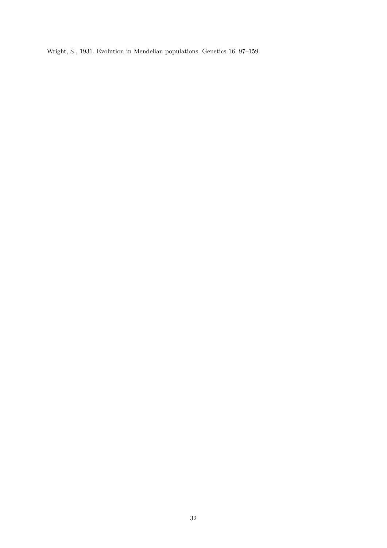<span id="page-31-0"></span>Wright, S., 1931. Evolution in Mendelian populations. Genetics 16, 97–159.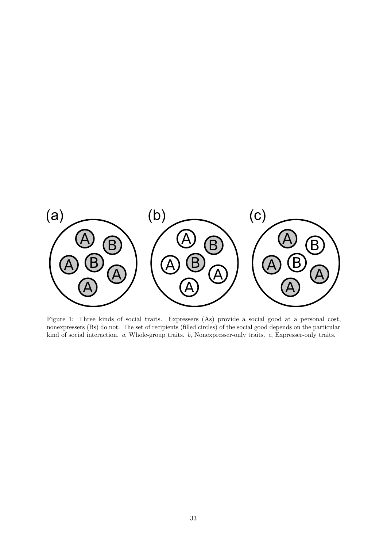<span id="page-32-0"></span>

Figure 1: Three kinds of social traits. Expressers (As) provide a social good at a personal cost, nonexpressers (Bs) do not. The set of recipients (filled circles) of the social good depends on the particular kind of social interaction. a, Whole-group traits. b, Nonexpresser-only traits. c, Expresser-only traits.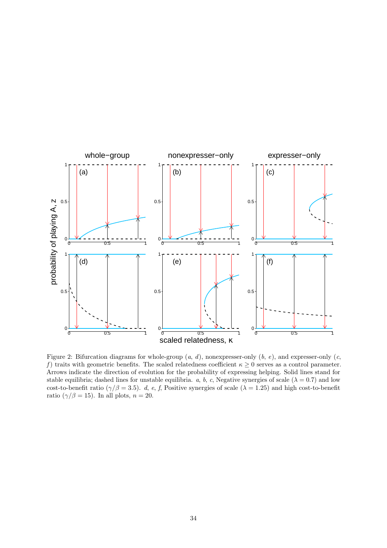<span id="page-33-0"></span>

Figure 2: Bifurcation diagrams for whole-group  $(a, d)$ , nonexpresser-only  $(b, e)$ , and expresser-only  $(c, d)$ f) traits with geometric benefits. The scaled relatedness coefficient  $\kappa \geq 0$  serves as a control parameter. Arrows indicate the direction of evolution for the probability of expressing helping. Solid lines stand for stable equilibria; dashed lines for unstable equilibria. a, b, c, Negative synergies of scale ( $\lambda = 0.7$ ) and low cost-to-benefit ratio ( $\gamma/\beta = 3.5$ ). d, e, f, Positive synergies of scale ( $\lambda = 1.25$ ) and high cost-to-benefit ratio ( $\gamma/\beta = 15$ ). In all plots,  $n = 20$ .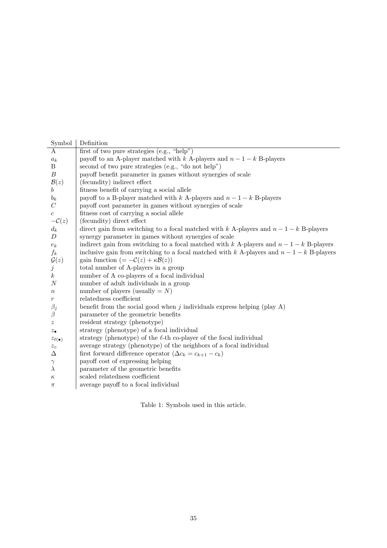<span id="page-34-0"></span>

| Symbol              | Definition                                                                              |
|---------------------|-----------------------------------------------------------------------------------------|
| A                   | first of two pure strategies $(e.g., "help")$                                           |
| $a_k$               | payoff to an A-player matched with k A-players and $n-1-k$ B-players                    |
| $\boldsymbol{B}$    | second of two pure strategies (e.g., "do not help")                                     |
| $\boldsymbol{B}$    | payoff benefit parameter in games without synergies of scale                            |
| $\mathcal{B}(z)$    | (fecundity) indirect effect                                                             |
| b                   | fitness benefit of carrying a social allele                                             |
| $b_k$               | payoff to a B-player matched with k A-players and $n-1-k$ B-players                     |
| $\overline{C}$      | payoff cost parameter in games without synergies of scale                               |
| $\boldsymbol{c}$    | fitness cost of carrying a social allele                                                |
| $-\mathcal{C}(z)$   | (fecundity) direct effect                                                               |
| $d_k$               | direct gain from switching to a focal matched with k A-players and $n-1-k$ B-players    |
| D                   | synergy parameter in games without synergies of scale                                   |
| $\boldsymbol{e}_k$  | indirect gain from switching to a focal matched with k A-players and $n-1-k$ B-players  |
| $f_k$               | inclusive gain from switching to a focal matched with k A-players and $n-1-k$ B-players |
| $\mathcal{G}(z)$    | gain function $(=-\mathcal{C}(z)+\kappa \mathcal{B}(z))$                                |
| $\dot{j}$           | total number of A-players in a group                                                    |
| $\boldsymbol{k}$    | number of A co-players of a focal individual                                            |
| $\boldsymbol{N}$    | number of adult individuals in a group                                                  |
| $\, n$              | number of players (usually $=N$ )                                                       |
| $\,r\,$             | relatedness coefficient                                                                 |
| $\beta_j$           | benefit from the social good when $j$ individuals express helping (play A)              |
| $\beta$             | parameter of the geometric benefits                                                     |
| $\boldsymbol{z}$    | resident strategy (phenotype)                                                           |
| $z_{\bullet}$       | strategy (phenotype) of a focal individual                                              |
| $z_{\ell(\bullet)}$ | strategy (phenotype) of the $\ell$ -th co-player of the focal individual                |
| $z_{\circ}$         | average strategy (phenotype) of the neighbors of a focal individual                     |
| Δ                   | first forward difference operator $(\Delta c_k = c_{k+1} - c_k)$                        |
| $\gamma$            | payoff cost of expressing helping                                                       |
| $\lambda$           | parameter of the geometric benefits                                                     |
| $\kappa$            | scaled relatedness coefficient                                                          |
| $\pi$               | average payoff to a focal individual                                                    |

Table 1: Symbols used in this article.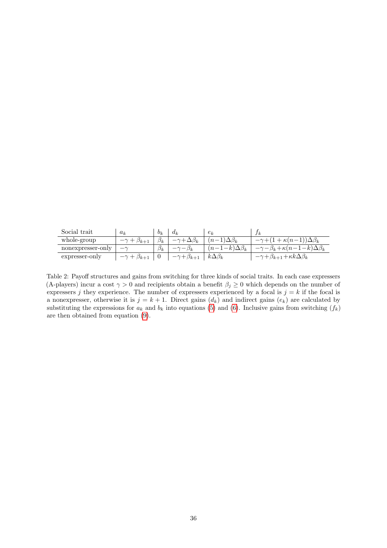<span id="page-35-0"></span>

| Social trait      | $a_k$           | $b_k$     | $a_k$                  | $e_k$                  | Ιk                                                     |
|-------------------|-----------------|-----------|------------------------|------------------------|--------------------------------------------------------|
| whole-group       | $p_{k+1}$       | $\beta_k$ |                        | $n -$                  | $\mathbf{r} + \kappa (n-1) \Delta \beta_k$             |
| nonexpresser-only |                 | $\beta_k$ |                        | $(n-1-k)\Delta\beta_k$ | $-\beta_k + \kappa(n-1-k)\Delta\beta_k$                |
| expresser-only    | $+ \beta_{k+1}$ |           | $\gamma+\beta_{k+\mu}$ | $k\Delta\beta_k$       | $\cdot \gamma + \beta_{k+1} + \kappa k \Delta \beta_k$ |

Table 2: Payoff structures and gains from switching for three kinds of social traits. In each case expressers (A-players) incur a cost  $\gamma > 0$  and recipients obtain a benefit  $\beta_j \geq 0$  which depends on the number of expressers j they experience. The number of expressers experienced by a focal is  $j = k$  if the focal is a nonexpresser, otherwise it is  $j = k + 1$ . Direct gains  $(d_k)$  and indirect gains  $(e_k)$  are calculated by substituting the expressions for  $a_k$  and  $b_k$  into equations [\(5\)](#page-6-0) and [\(6\)](#page-6-1). Inclusive gains from switching  $(f_k)$ are then obtained from equation [\(9\)](#page-6-2).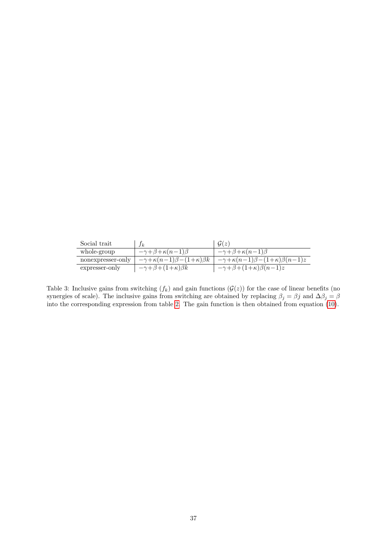<span id="page-36-0"></span>

| Social trait      | $f_k$                                            | G(z)                                                 |
|-------------------|--------------------------------------------------|------------------------------------------------------|
| whole-group       | $-\gamma + \beta + \kappa(n-1)\beta$             | $-\gamma + \beta + \kappa(n-1)\beta$                 |
| nonexpresser-only | $-\gamma + \kappa(n-1)\beta - (1+\kappa)\beta k$ | $-\gamma + \kappa(n-1)\beta - (1+\kappa)\beta(n-1)z$ |
| expresser-only    | $-\gamma + \beta + (1+\kappa)\beta k$            | $-\gamma + \beta + (1+\kappa)\beta(n-1)z$            |

Table 3: Inclusive gains from switching  $(f_k)$  and gain functions  $(\mathcal{G}(z))$  for the case of linear benefits (no synergies of scale). The inclusive gains from switching are obtained by replacing  $\beta_j = \beta j$  and  $\Delta \beta_j = \beta$ into the corresponding expression from table [2.](#page-35-0) The gain function is then obtained from equation [\(10\)](#page-7-0).